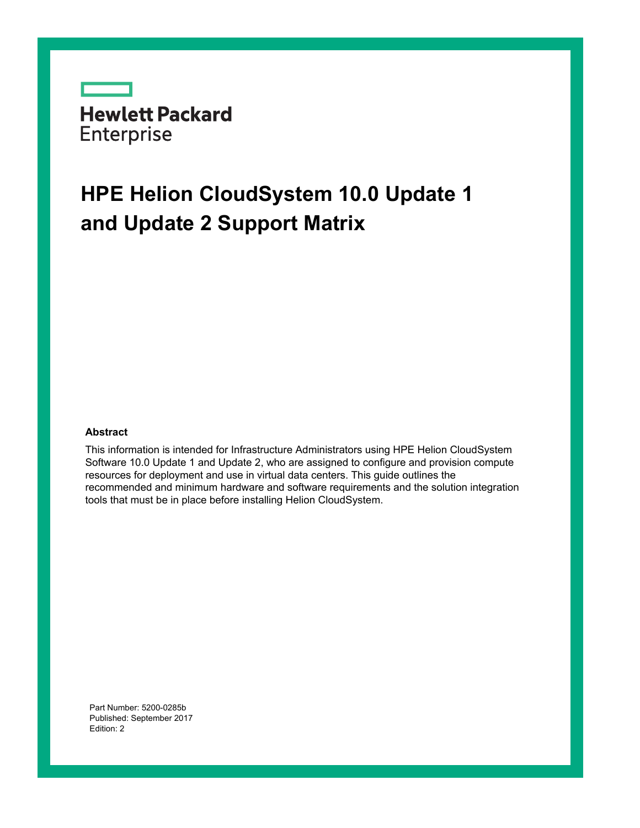**Hewlett Packard** Enterprise

# **HPE Helion CloudSystem 10.0 Update 1 and Update 2 Support Matrix**

#### **Abstract**

This information is intended for Infrastructure Administrators using HPE Helion CloudSystem Software 10.0 Update 1 and Update 2, who are assigned to configure and provision compute resources for deployment and use in virtual data centers. This guide outlines the recommended and minimum hardware and software requirements and the solution integration tools that must be in place before installing Helion CloudSystem.

Part Number: 5200-0285b Published: September 2017 Edition: 2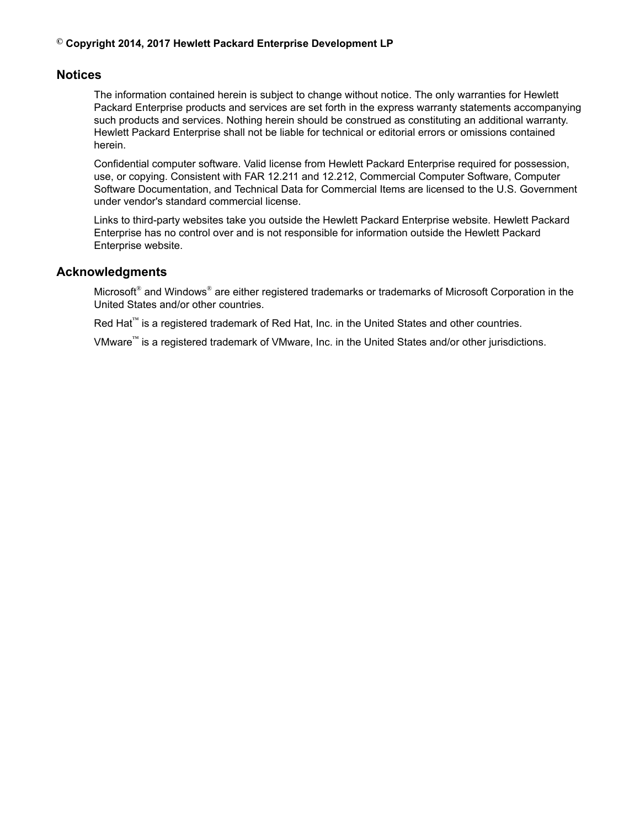### **© Copyright 2014, 2017 Hewlett Packard Enterprise Development LP**

## **Notices**

The information contained herein is subject to change without notice. The only warranties for Hewlett Packard Enterprise products and services are set forth in the express warranty statements accompanying such products and services. Nothing herein should be construed as constituting an additional warranty. Hewlett Packard Enterprise shall not be liable for technical or editorial errors or omissions contained herein.

Confidential computer software. Valid license from Hewlett Packard Enterprise required for possession, use, or copying. Consistent with FAR 12.211 and 12.212, Commercial Computer Software, Computer Software Documentation, and Technical Data for Commercial Items are licensed to the U.S. Government under vendor's standard commercial license.

Links to third-party websites take you outside the Hewlett Packard Enterprise website. Hewlett Packard Enterprise has no control over and is not responsible for information outside the Hewlett Packard Enterprise website.

## **Acknowledgments**

Microsoft® and Windows® are either registered trademarks or trademarks of Microsoft Corporation in the United States and/or other countries.

Red Hat<sup>™</sup> is a registered trademark of Red Hat, Inc. in the United States and other countries.

VMware™ is a registered trademark of VMware, Inc. in the United States and/or other jurisdictions.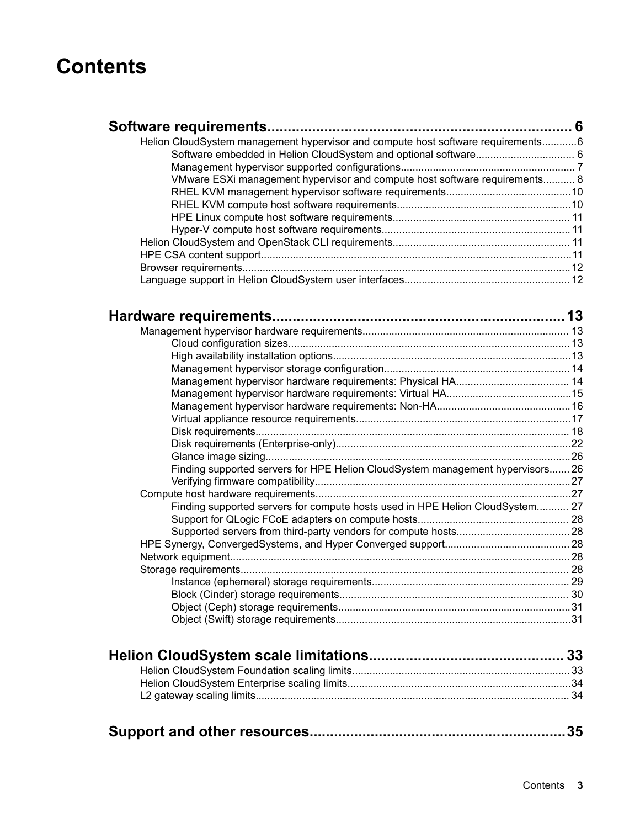# **Contents**

| Helion CloudSystem management hypervisor and compute host software requirements6 |  |
|----------------------------------------------------------------------------------|--|
|                                                                                  |  |
|                                                                                  |  |
| VMware ESXi management hypervisor and compute host software requirements 8       |  |
|                                                                                  |  |
|                                                                                  |  |
|                                                                                  |  |
|                                                                                  |  |
|                                                                                  |  |
|                                                                                  |  |
|                                                                                  |  |
|                                                                                  |  |
|                                                                                  |  |
|                                                                                  |  |
|                                                                                  |  |
|                                                                                  |  |
|                                                                                  |  |
|                                                                                  |  |
|                                                                                  |  |

| Finding supported servers for HPE Helion CloudSystem management hypervisors 26 |  |
|--------------------------------------------------------------------------------|--|
|                                                                                |  |
|                                                                                |  |
| Finding supported servers for compute hosts used in HPE Helion CloudSystem 27  |  |
|                                                                                |  |
|                                                                                |  |
|                                                                                |  |
|                                                                                |  |
|                                                                                |  |
|                                                                                |  |
|                                                                                |  |
|                                                                                |  |
|                                                                                |  |
|                                                                                |  |

|--|--|--|--|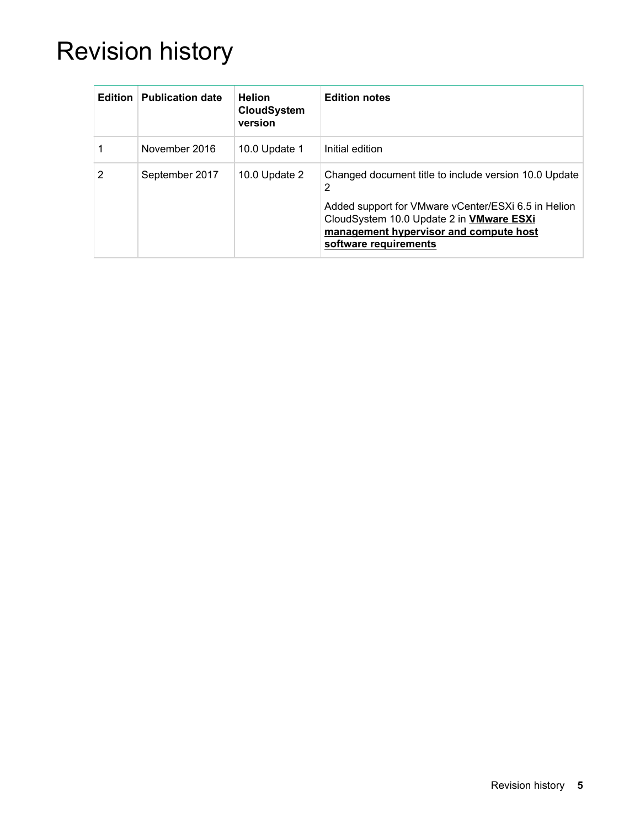# Revision history

| Edition | <b>Publication date</b> | <b>Helion</b><br><b>CloudSystem</b><br>version | <b>Edition notes</b>                                                                                                                                                                                                                    |
|---------|-------------------------|------------------------------------------------|-----------------------------------------------------------------------------------------------------------------------------------------------------------------------------------------------------------------------------------------|
|         | November 2016           | 10.0 Update 1                                  | Initial edition                                                                                                                                                                                                                         |
| 2       | September 2017          | 10.0 Update 2                                  | Changed document title to include version 10.0 Update<br>2<br>Added support for VMware vCenter/ESXi 6.5 in Helion<br>CloudSystem 10.0 Update 2 in <b>VMware ESXi</b><br>management hypervisor and compute host<br>software requirements |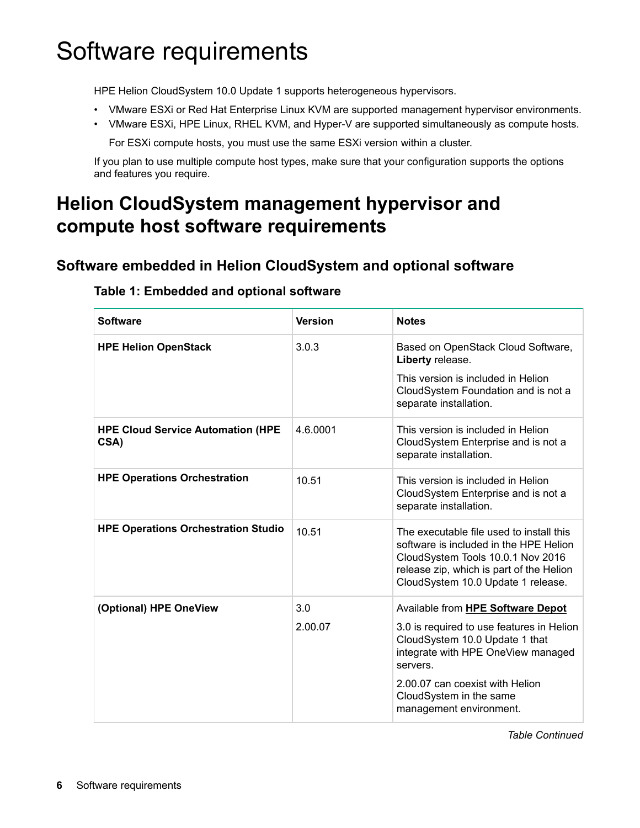# <span id="page-5-0"></span>Software requirements

HPE Helion CloudSystem 10.0 Update 1 supports heterogeneous hypervisors.

- VMware ESXi or Red Hat Enterprise Linux KVM are supported management hypervisor environments.
- VMware ESXi, HPE Linux, RHEL KVM, and Hyper-V are supported simultaneously as compute hosts.

For ESXi compute hosts, you must use the same ESXi version within a cluster.

If you plan to use multiple compute host types, make sure that your configuration supports the options and features you require.

# **Helion CloudSystem management hypervisor and compute host software requirements**

# **Software embedded in Helion CloudSystem and optional software**

| <b>Software</b>                                  | <b>Version</b> | <b>Notes</b>                                                                                                                                                                                              |
|--------------------------------------------------|----------------|-----------------------------------------------------------------------------------------------------------------------------------------------------------------------------------------------------------|
| <b>HPE Helion OpenStack</b>                      | 3.0.3          | Based on OpenStack Cloud Software,<br>Liberty release.                                                                                                                                                    |
|                                                  |                | This version is included in Helion<br>CloudSystem Foundation and is not a<br>separate installation.                                                                                                       |
| <b>HPE Cloud Service Automation (HPE</b><br>CSA) | 4.6.0001       | This version is included in Helion<br>CloudSystem Enterprise and is not a<br>separate installation.                                                                                                       |
| <b>HPE Operations Orchestration</b>              | 10.51          | This version is included in Helion<br>CloudSystem Enterprise and is not a<br>separate installation.                                                                                                       |
| <b>HPE Operations Orchestration Studio</b>       | 10.51          | The executable file used to install this<br>software is included in the HPE Helion<br>CloudSystem Tools 10.0.1 Nov 2016<br>release zip, which is part of the Helion<br>CloudSystem 10.0 Update 1 release. |
| (Optional) HPE OneView                           | 3.0            | Available from HPE Software Depot                                                                                                                                                                         |
|                                                  | 2.00.07        | 3.0 is required to use features in Helion<br>CloudSystem 10.0 Update 1 that<br>integrate with HPE OneView managed<br>servers.                                                                             |
|                                                  |                | 2.00.07 can coexist with Helion<br>CloudSystem in the same<br>management environment.                                                                                                                     |

# **Table 1: Embedded and optional software**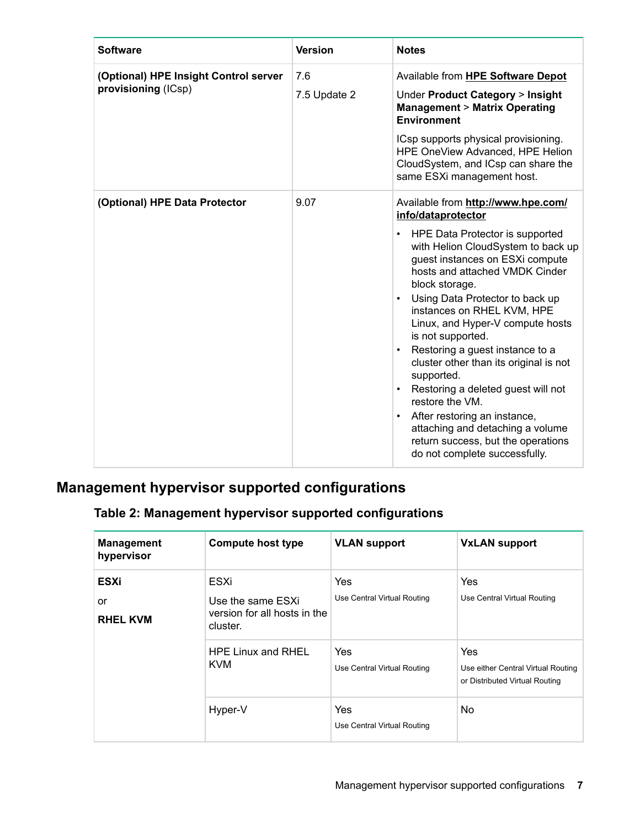<span id="page-6-0"></span>

| <b>Software</b>                                              | <b>Version</b>      | <b>Notes</b>                                                                                                                                                                                                                                                                                                                                                                                                                                                                                                                                                                                                                                                                                          |
|--------------------------------------------------------------|---------------------|-------------------------------------------------------------------------------------------------------------------------------------------------------------------------------------------------------------------------------------------------------------------------------------------------------------------------------------------------------------------------------------------------------------------------------------------------------------------------------------------------------------------------------------------------------------------------------------------------------------------------------------------------------------------------------------------------------|
| (Optional) HPE Insight Control server<br>provisioning (ICsp) | 7.6<br>7.5 Update 2 | Available from HPE Software Depot<br>Under Product Category > Insight<br><b>Management &gt; Matrix Operating</b><br><b>Environment</b><br>ICsp supports physical provisioning.<br>HPE OneView Advanced, HPE Helion<br>CloudSystem, and ICsp can share the<br>same ESXi management host.                                                                                                                                                                                                                                                                                                                                                                                                               |
| (Optional) HPE Data Protector                                | 9.07                | Available from http://www.hpe.com/<br>info/dataprotector<br>HPE Data Protector is supported<br>$\bullet$<br>with Helion CloudSystem to back up<br>guest instances on ESXi compute<br>hosts and attached VMDK Cinder<br>block storage.<br>Using Data Protector to back up<br>$\bullet$<br>instances on RHEL KVM, HPE<br>Linux, and Hyper-V compute hosts<br>is not supported.<br>Restoring a guest instance to a<br>$\bullet$<br>cluster other than its original is not<br>supported.<br>Restoring a deleted guest will not<br>$\bullet$<br>restore the VM.<br>After restoring an instance,<br>attaching and detaching a volume<br>return success, but the operations<br>do not complete successfully. |

# **Management hypervisor supported configurations**

# **Table 2: Management hypervisor supported configurations**

| <b>Management</b><br>hypervisor      | <b>Compute host type</b>                                              | <b>VLAN support</b>                       | <b>VxLAN support</b>                                                        |
|--------------------------------------|-----------------------------------------------------------------------|-------------------------------------------|-----------------------------------------------------------------------------|
| <b>ESXi</b><br>or<br><b>RHEL KVM</b> | ESXi<br>Use the same ESXi<br>version for all hosts in the<br>cluster. | <b>Yes</b><br>Use Central Virtual Routing | Yes<br>Use Central Virtual Routing                                          |
|                                      | <b>HPE Linux and RHEL</b><br><b>KVM</b>                               | <b>Yes</b><br>Use Central Virtual Routing | Yes<br>Use either Central Virtual Routing<br>or Distributed Virtual Routing |
|                                      | Hyper-V                                                               | Yes<br>Use Central Virtual Routing        | <b>No</b>                                                                   |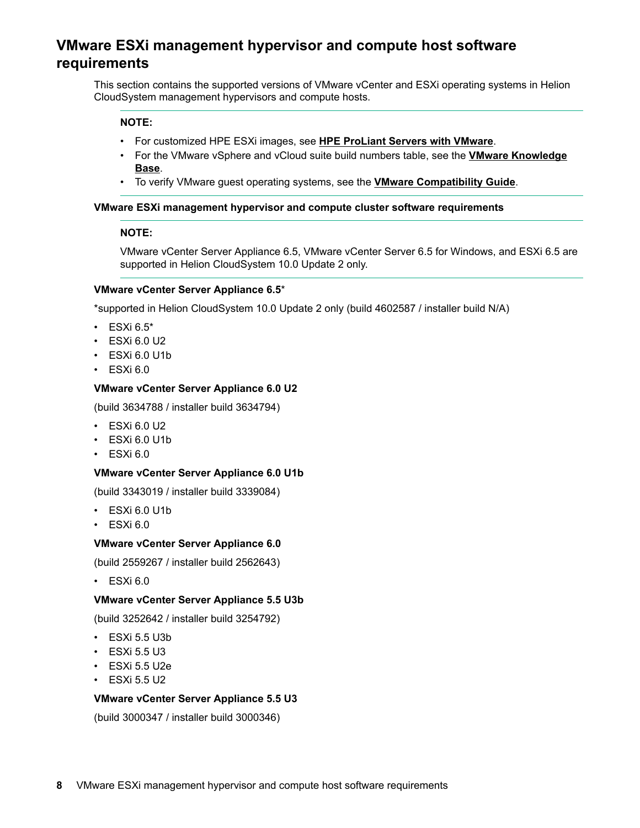# <span id="page-7-0"></span>**VMware ESXi management hypervisor and compute host software requirements**

This section contains the supported versions of VMware vCenter and ESXi operating systems in Helion CloudSystem management hypervisors and compute hosts.

### **NOTE:**

- For customized HPE ESXi images, see **[HPE ProLiant Servers with VMware](http://www8.hp.com/us/en/products/servers/solutions.html?compURI=1499005#tab=TAB4%20)**.
- For the VMware vSphere and vCloud suite build numbers table, see the **[VMware Knowledge](https://kb.vmware.com/selfservice/search.do?cmd=displayKC&docType=kc&docTypeID=DT_KB_1_1&externalId=1014508) [Base](https://kb.vmware.com/selfservice/search.do?cmd=displayKC&docType=kc&docTypeID=DT_KB_1_1&externalId=1014508)**.
- To verify VMware guest operating systems, see the **[VMware Compatibility Guide](http://www.vmware.com/resources/compatibility/search.php?deviceCategory=software&testConfig=16)**.

#### **VMware ESXi management hypervisor and compute cluster software requirements**

#### **NOTE:**

VMware vCenter Server Appliance 6.5, VMware vCenter Server 6.5 for Windows, and ESXi 6.5 are supported in Helion CloudSystem 10.0 Update 2 only.

#### **VMware vCenter Server Appliance 6.5**\*

\*supported in Helion CloudSystem 10.0 Update 2 only (build 4602587 / installer build N/A)

- $\cdot$  ESXi 6.5\*
- ESXi 6.0 U2
- ESXi 6.0 U1b
- $\cdot$  ESXi 6.0

#### **VMware vCenter Server Appliance 6.0 U2**

(build 3634788 / installer build 3634794)

- ESXi 6.0 U2
- ESXi 6.0 U1b
- $\cdot$  ESXi 6.0

### **VMware vCenter Server Appliance 6.0 U1b**

(build 3343019 / installer build 3339084)

- ESXi 6.0 U1b
- $\cdot$  ESXi 6.0

#### **VMware vCenter Server Appliance 6.0**

(build 2559267 / installer build 2562643)

 $\cdot$  ESXi 6.0

#### **VMware vCenter Server Appliance 5.5 U3b**

(build 3252642 / installer build 3254792)

- $\cdot$  ESXi 5.5 U3b
- $\cdot$  ESXi 5.5 U3
- $\cdot$  ESXi 5.5 U2e
- $\cdot$  ESXi 5.5 U2

#### **VMware vCenter Server Appliance 5.5 U3**

(build 3000347 / installer build 3000346)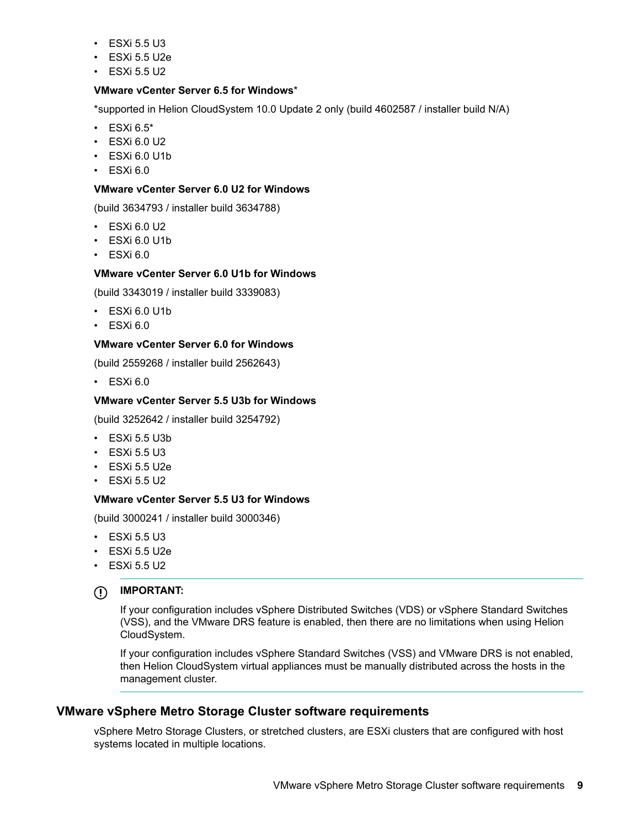- $\cdot$  ESXi 5.5 U3
- $\cdot$  ESXi 5.5 U2e
- ESXi 5.5 U2

#### **VMware vCenter Server 6.5 for Windows**\*

\*supported in Helion CloudSystem 10.0 Update 2 only (build 4602587 / installer build N/A)

- $\cdot$  ESXi 6.5\*
- $\cdot$  ESXi 6.0 U2
- ESXi 6.0 U1b
- $\cdot$  ESXi 6.0

#### **VMware vCenter Server 6.0 U2 for Windows**

(build 3634793 / installer build 3634788)

- ESXi 6.0 U2
- ESXi 6.0 U1b
- $\cdot$  ESXi 6.0

### **VMware vCenter Server 6.0 U1b for Windows**

(build 3343019 / installer build 3339083)

- ESXi 6.0 U1b
- $\cdot$  ESXi 6.0

## **VMware vCenter Server 6.0 for Windows**

(build 2559268 / installer build 2562643)

• ESXi 6.0

### **VMware vCenter Server 5.5 U3b for Windows**

(build 3252642 / installer build 3254792)

- ESXi 5.5 U3b
- $\cdot$  ESXi 5.5 U3
- $\cdot$  ESXi 5.5 U2e
- $\cdot$  ESXi 5.5 U2

#### **VMware vCenter Server 5.5 U3 for Windows**

(build 3000241 / installer build 3000346)

- $\cdot$  ESXi 5.5 U3
- $\cdot$  ESXi 5.5 U2e
- $\cdot$  ESXi 5.5 U2
- **IMPORTANT:**  $\bigcirc$

If your configuration includes vSphere Distributed Switches (VDS) or vSphere Standard Switches (VSS), and the VMware DRS feature is enabled, then there are no limitations when using Helion CloudSystem.

If your configuration includes vSphere Standard Switches (VSS) and VMware DRS is not enabled, then Helion CloudSystem virtual appliances must be manually distributed across the hosts in the management cluster.

## **VMware vSphere Metro Storage Cluster software requirements**

vSphere Metro Storage Clusters, or stretched clusters, are ESXi clusters that are configured with host systems located in multiple locations.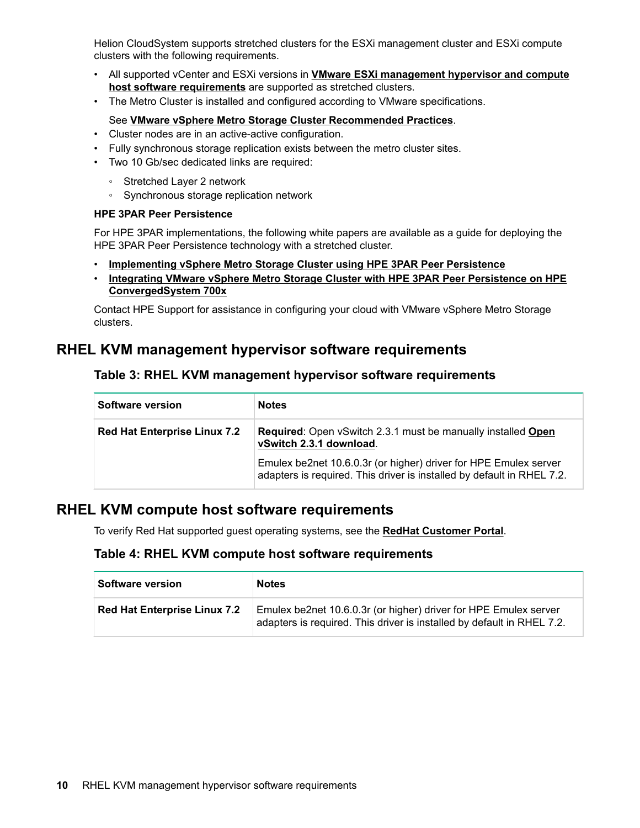<span id="page-9-0"></span>Helion CloudSystem supports stretched clusters for the ESXi management cluster and ESXi compute clusters with the following requirements.

- All supported vCenter and ESXi versions in **[VMware ESXi management hypervisor and compute](#page-7-0) [host software requirements](#page-7-0)** are supported as stretched clusters.
- The Metro Cluster is installed and configured according to VMware specifications.

### See **[VMware vSphere Metro Storage Cluster Recommended Practices](http://www.vmware.com/files/pdf/techpaper/vmware-vsphere-metro-storage-cluster-recommended-practices.pdf)**.

- Cluster nodes are in an active-active configuration.
- Fully synchronous storage replication exists between the metro cluster sites.
- Two 10 Gb/sec dedicated links are required:
	- Stretched Layer 2 network
	- Synchronous storage replication network

#### **HPE 3PAR Peer Persistence**

For HPE 3PAR implementations, the following white papers are available as a guide for deploying the HPE 3PAR Peer Persistence technology with a stretched cluster.

- **[Implementing vSphere Metro Storage Cluster using HPE 3PAR Peer Persistence](https://www.hpe.com/h20195/V2/getpdf.aspx/4AA4-7734ENW.pdf)**
- **[Integrating VMware vSphere Metro Storage Cluster with HPE 3PAR Peer Persistence on HPE](https://www.hpe.com/h20195/V2/getpdf.aspx/4AA5-6753ENW.pdf) [ConvergedSystem 700x](https://www.hpe.com/h20195/V2/getpdf.aspx/4AA5-6753ENW.pdf)**

Contact HPE Support for assistance in configuring your cloud with VMware vSphere Metro Storage clusters.

# **RHEL KVM management hypervisor software requirements**

## **Table 3: RHEL KVM management hypervisor software requirements**

| Software version                    | <b>Notes</b>                                                                                                                               |
|-------------------------------------|--------------------------------------------------------------------------------------------------------------------------------------------|
| <b>Red Hat Enterprise Linux 7.2</b> | <b>Required:</b> Open vSwitch 2.3.1 must be manually installed Open<br>vSwitch 2.3.1 download.                                             |
|                                     | Emulex be2net 10.6.0.3r (or higher) driver for HPE Emulex server<br>adapters is required. This driver is installed by default in RHEL 7.2. |

# **RHEL KVM compute host software requirements**

To verify Red Hat supported guest operating systems, see the **[RedHat Customer Portal](https://access.redhat.com/certified-hypervisors)**.

## **Table 4: RHEL KVM compute host software requirements**

| Software version                    | <b>Notes</b>                                                                                                                               |
|-------------------------------------|--------------------------------------------------------------------------------------------------------------------------------------------|
| <b>Red Hat Enterprise Linux 7.2</b> | Emulex be2net 10.6.0.3r (or higher) driver for HPE Emulex server<br>adapters is required. This driver is installed by default in RHEL 7.2. |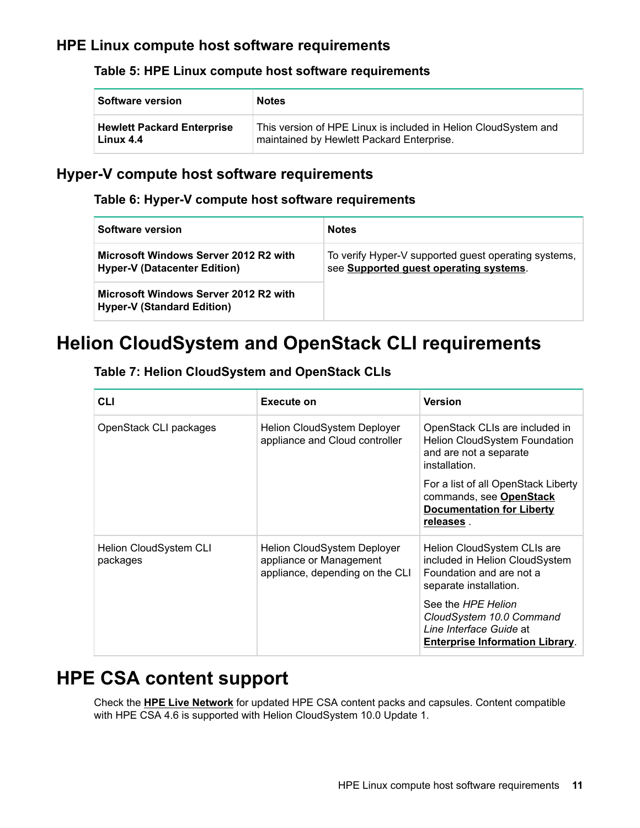# <span id="page-10-0"></span>**HPE Linux compute host software requirements**

# **Table 5: HPE Linux compute host software requirements**

| Software version                  | <b>Notes</b>                                                    |
|-----------------------------------|-----------------------------------------------------------------|
| <b>Hewlett Packard Enterprise</b> | This version of HPE Linux is included in Helion CloudSystem and |
| Linux 4.4                         | maintained by Hewlett Packard Enterprise.                       |

# **Hyper-V compute host software requirements**

## **Table 6: Hyper-V compute host software requirements**

| Software version                                                             | <b>Notes</b>                                                                                   |
|------------------------------------------------------------------------------|------------------------------------------------------------------------------------------------|
| Microsoft Windows Server 2012 R2 with<br><b>Hyper-V (Datacenter Edition)</b> | To verify Hyper-V supported guest operating systems,<br>see Supported guest operating systems. |
| Microsoft Windows Server 2012 R2 with<br><b>Hyper-V (Standard Edition)</b>   |                                                                                                |

# **Helion CloudSystem and OpenStack CLI requirements**

|  | <b>Table 7: Helion CloudSystem and OpenStack CLIs</b> |  |  |  |
|--|-------------------------------------------------------|--|--|--|
|--|-------------------------------------------------------|--|--|--|

| <b>CLI</b>                         | Execute on                                                                                | <b>Version</b>                                                                                                      |
|------------------------------------|-------------------------------------------------------------------------------------------|---------------------------------------------------------------------------------------------------------------------|
| OpenStack CLI packages             | Helion CloudSystem Deployer<br>appliance and Cloud controller                             | OpenStack CLIs are included in<br><b>Helion CloudSystem Foundation</b><br>and are not a separate<br>installation.   |
|                                    |                                                                                           | For a list of all OpenStack Liberty<br>commands, see OpenStack<br><b>Documentation for Liberty</b><br>releases.     |
| Helion CloudSystem CLI<br>packages | Helion CloudSystem Deployer<br>appliance or Management<br>appliance, depending on the CLI | Helion CloudSystem CLIs are<br>included in Helion CloudSystem<br>Foundation and are not a<br>separate installation. |
|                                    |                                                                                           | See the HPE Helion<br>CloudSystem 10.0 Command<br>Line Interface Guide at<br><b>Enterprise Information Library.</b> |

# **HPE CSA content support**

Check the **[HPE Live Network](https://hpln.hpe.com/group/cloud-service-automation-csa)** for updated HPE CSA content packs and capsules. Content compatible with HPE CSA 4.6 is supported with Helion CloudSystem 10.0 Update 1.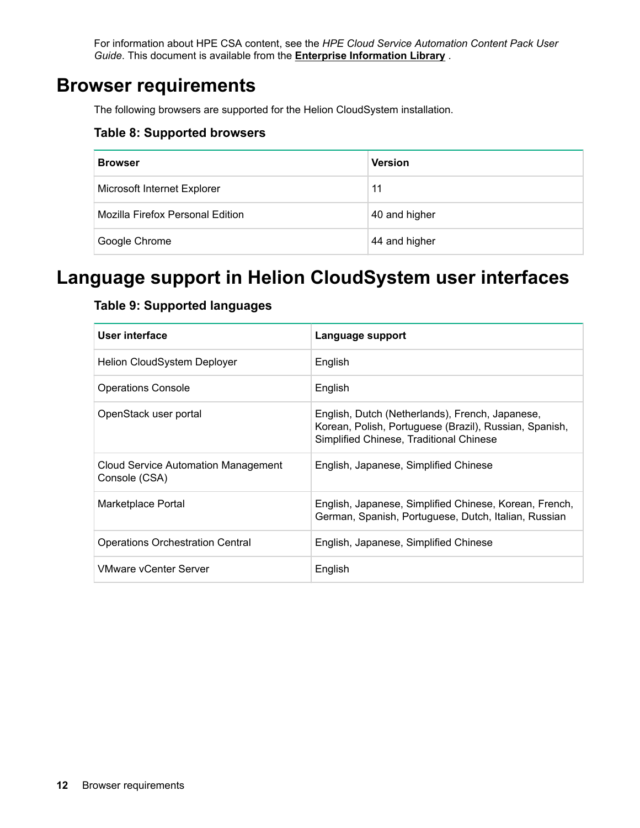For information about HPE CSA content, see the *HPE Cloud Service Automation Content Pack User Guide*. This document is available from the **[Enterprise Information Library](http://www.hpe.com/info/CloudSystem/docs)** .

# <span id="page-11-0"></span>**Browser requirements**

The following browsers are supported for the Helion CloudSystem installation.

## **Table 8: Supported browsers**

| <b>Browser</b>                   | <b>Version</b> |
|----------------------------------|----------------|
| Microsoft Internet Explorer      | 11             |
| Mozilla Firefox Personal Edition | 40 and higher  |
| Google Chrome                    | 44 and higher  |

# **Language support in Helion CloudSystem user interfaces**

# **Table 9: Supported languages**

| User interface                                              | Language support                                                                                                                                     |
|-------------------------------------------------------------|------------------------------------------------------------------------------------------------------------------------------------------------------|
| <b>Helion CloudSystem Deployer</b>                          | English                                                                                                                                              |
| <b>Operations Console</b>                                   | English                                                                                                                                              |
| OpenStack user portal                                       | English, Dutch (Netherlands), French, Japanese,<br>Korean, Polish, Portuguese (Brazil), Russian, Spanish,<br>Simplified Chinese, Traditional Chinese |
| <b>Cloud Service Automation Management</b><br>Console (CSA) | English, Japanese, Simplified Chinese                                                                                                                |
| Marketplace Portal                                          | English, Japanese, Simplified Chinese, Korean, French,<br>German, Spanish, Portuguese, Dutch, Italian, Russian                                       |
| <b>Operations Orchestration Central</b>                     | English, Japanese, Simplified Chinese                                                                                                                |
| <b>VMware vCenter Server</b>                                | English                                                                                                                                              |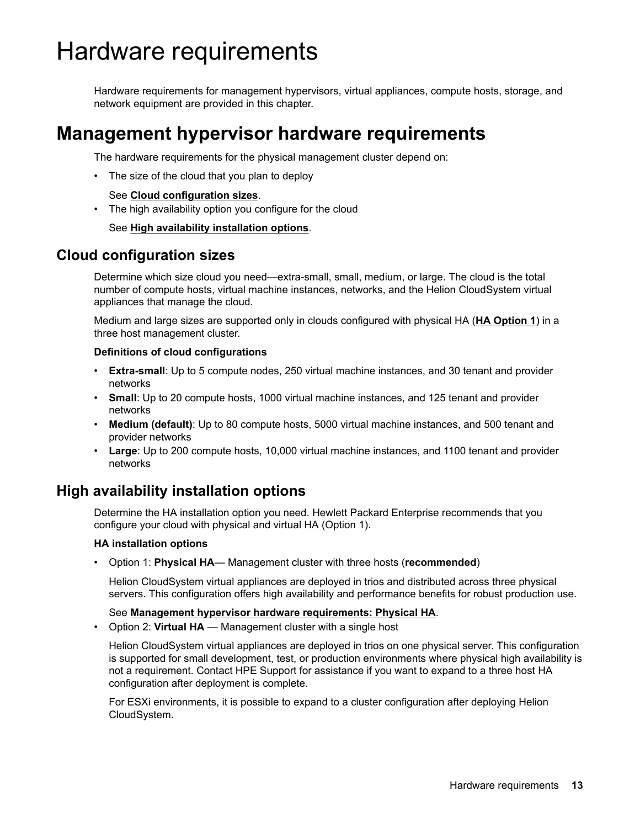# <span id="page-12-0"></span>Hardware requirements

Hardware requirements for management hypervisors, virtual appliances, compute hosts, storage, and network equipment are provided in this chapter.

# **Management hypervisor hardware requirements**

The hardware requirements for the physical management cluster depend on:

• The size of the cloud that you plan to deploy

See **Cloud configuration sizes**.

• The high availability option you configure for the cloud

See **High availability installation options**.

# **Cloud configuration sizes**

Determine which size cloud you need—extra-small, small, medium, or large. The cloud is the total number of compute hosts, virtual machine instances, networks, and the Helion CloudSystem virtual appliances that manage the cloud.

Medium and large sizes are supported only in clouds configured with physical HA (**HA Option 1**) in a three host management cluster.

### **Definitions of cloud configurations**

- **Extra-small**: Up to 5 compute nodes, 250 virtual machine instances, and 30 tenant and provider networks
- **Small**: Up to 20 compute hosts, 1000 virtual machine instances, and 125 tenant and provider networks
- **Medium (default)**: Up to 80 compute hosts, 5000 virtual machine instances, and 500 tenant and provider networks
- **Large**: Up to 200 compute hosts, 10,000 virtual machine instances, and 1100 tenant and provider networks

# **High availability installation options**

Determine the HA installation option you need. Hewlett Packard Enterprise recommends that you configure your cloud with physical and virtual HA (Option 1).

## **HA installation options**

• Option 1: **Physical HA**— Management cluster with three hosts (**recommended**)

Helion CloudSystem virtual appliances are deployed in trios and distributed across three physical servers. This configuration offers high availability and performance benefits for robust production use.

## See **[Management hypervisor hardware requirements: Physical HA](#page-13-0)**.

• Option 2: **Virtual HA** — Management cluster with a single host

Helion CloudSystem virtual appliances are deployed in trios on one physical server. This configuration is supported for small development, test, or production environments where physical high availability is not a requirement. Contact HPE Support for assistance if you want to expand to a three host HA configuration after deployment is complete.

For ESXi environments, it is possible to expand to a cluster configuration after deploying Helion CloudSystem.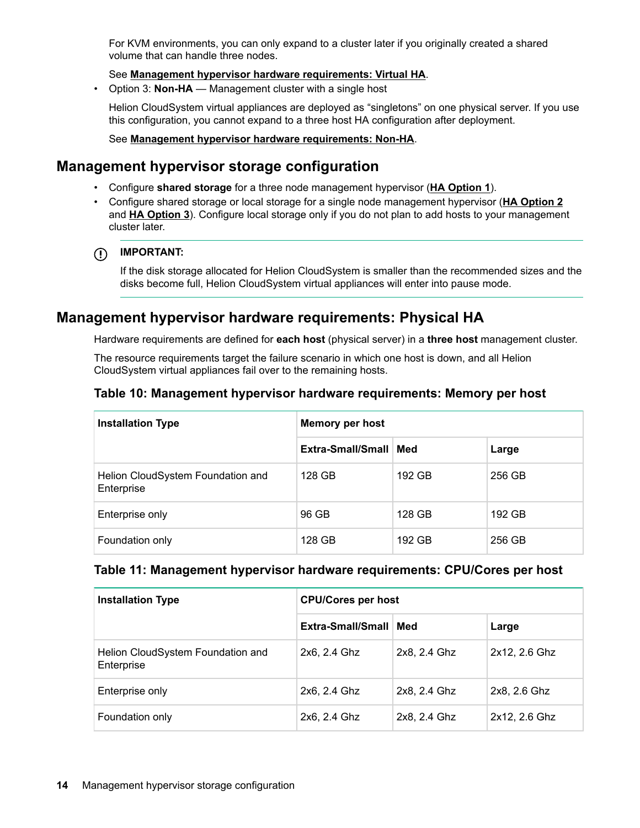<span id="page-13-0"></span>For KVM environments, you can only expand to a cluster later if you originally created a shared volume that can handle three nodes.

## See **[Management hypervisor hardware requirements: Virtual HA](#page-14-0)**.

• Option 3: **Non-HA** — Management cluster with a single host

Helion CloudSystem virtual appliances are deployed as "singletons" on one physical server. If you use this configuration, you cannot expand to a three host HA configuration after deployment.

### See **[Management hypervisor hardware requirements: Non-HA](#page-15-0)**.

# **Management hypervisor storage configuration**

- Configure **shared storage** for a three node management hypervisor (**HA Option 1**).
- Configure shared storage or local storage for a single node management hypervisor (**[HA Option 2](#page-14-0)** and **[HA Option 3](#page-15-0)**). Configure local storage only if you do not plan to add hosts to your management cluster later.

## **IMPORTANT:**

If the disk storage allocated for Helion CloudSystem is smaller than the recommended sizes and the disks become full, Helion CloudSystem virtual appliances will enter into pause mode.

# **Management hypervisor hardware requirements: Physical HA**

Hardware requirements are defined for **each host** (physical server) in a **three host** management cluster.

The resource requirements target the failure scenario in which one host is down, and all Helion CloudSystem virtual appliances fail over to the remaining hosts.

# **Table 10: Management hypervisor hardware requirements: Memory per host**

| <b>Installation Type</b>                        | <b>Memory per host</b>  |        |        |
|-------------------------------------------------|-------------------------|--------|--------|
|                                                 | Extra-Small/Small   Med |        | Large  |
| Helion CloudSystem Foundation and<br>Enterprise | 128 GB                  | 192 GB | 256 GB |
| Enterprise only                                 | 96 GB                   | 128 GB | 192 GB |
| Foundation only                                 | 128 GB                  | 192 GB | 256 GB |

## **Table 11: Management hypervisor hardware requirements: CPU/Cores per host**

| <b>Installation Type</b>                        | <b>CPU/Cores per host</b> |              |               |  |
|-------------------------------------------------|---------------------------|--------------|---------------|--|
|                                                 | Extra-Small/Small   Med   |              | Large         |  |
| Helion CloudSystem Foundation and<br>Enterprise | 2x6, 2.4 Ghz              | 2x8, 2.4 Ghz | 2x12, 2.6 Ghz |  |
| Enterprise only                                 | 2x6, 2.4 Ghz              | 2x8, 2.4 Ghz | 2x8, 2.6 Ghz  |  |
| Foundation only                                 | 2x6, 2.4 Ghz              | 2x8, 2.4 Ghz | 2x12, 2.6 Ghz |  |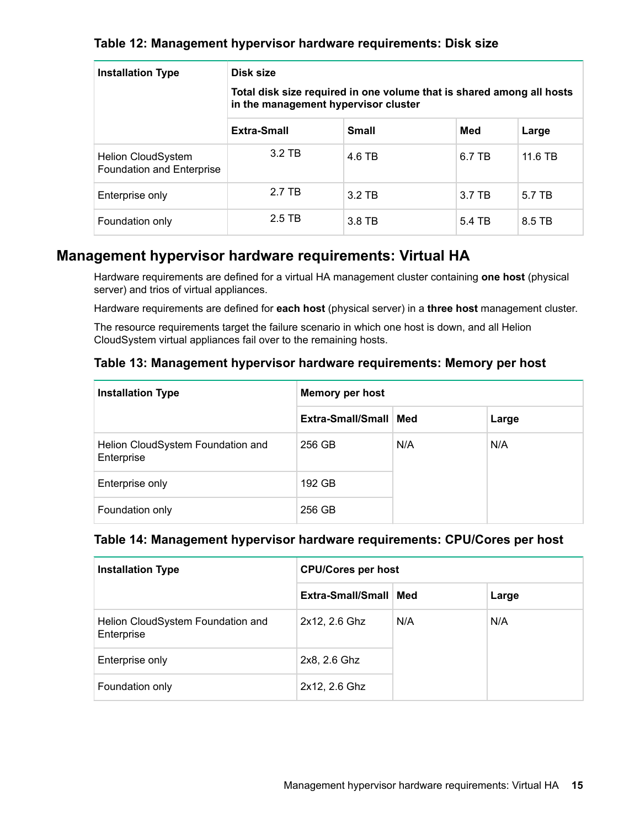# <span id="page-14-0"></span>**Table 12: Management hypervisor hardware requirements: Disk size**

| <b>Installation Type</b>                               | Disk size                                                                                                     |              |        |         |
|--------------------------------------------------------|---------------------------------------------------------------------------------------------------------------|--------------|--------|---------|
|                                                        | Total disk size required in one volume that is shared among all hosts<br>in the management hypervisor cluster |              |        |         |
|                                                        | Extra-Small                                                                                                   | <b>Small</b> | Med    | Large   |
| <b>Helion CloudSystem</b><br>Foundation and Enterprise | 3.2 TB                                                                                                        | 4.6 TB       | 6.7 TB | 11.6 TB |
| Enterprise only                                        | 2.7 TB                                                                                                        | 3.2 TB       | 3.7 TB | 5.7 TB  |
| Foundation only                                        | 2.5 TB                                                                                                        | 3.8 TB       | 5.4 TB | 8.5 TB  |

# **Management hypervisor hardware requirements: Virtual HA**

Hardware requirements are defined for a virtual HA management cluster containing **one host** (physical server) and trios of virtual appliances.

Hardware requirements are defined for **each host** (physical server) in a **three host** management cluster.

The resource requirements target the failure scenario in which one host is down, and all Helion CloudSystem virtual appliances fail over to the remaining hosts.

# **Table 13: Management hypervisor hardware requirements: Memory per host**

| <b>Installation Type</b>                        | <b>Memory per host</b>  |     |       |
|-------------------------------------------------|-------------------------|-----|-------|
|                                                 | Extra-Small/Small   Med |     | Large |
| Helion CloudSystem Foundation and<br>Enterprise | 256 GB                  | N/A | N/A   |
| Enterprise only                                 | 192 GB                  |     |       |
| Foundation only                                 | 256 GB                  |     |       |

# **Table 14: Management hypervisor hardware requirements: CPU/Cores per host**

| <b>Installation Type</b>                        | <b>CPU/Cores per host</b> |     |       |
|-------------------------------------------------|---------------------------|-----|-------|
|                                                 | Extra-Small/Small   Med   |     | Large |
| Helion CloudSystem Foundation and<br>Enterprise | 2x12, 2.6 Ghz             | N/A | N/A   |
| Enterprise only                                 | 2x8, 2.6 Ghz              |     |       |
| Foundation only                                 | 2x12, 2.6 Ghz             |     |       |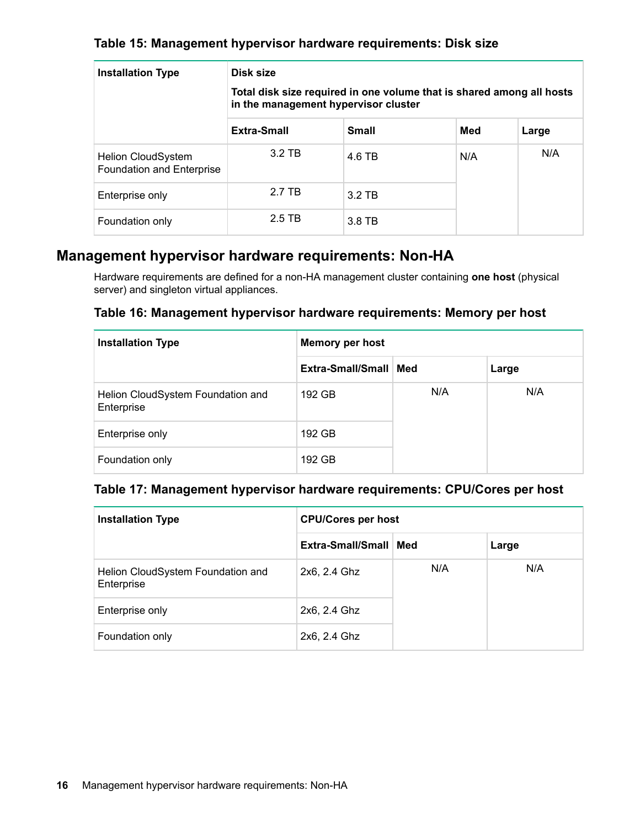# <span id="page-15-0"></span>**Table 15: Management hypervisor hardware requirements: Disk size**

| <b>Installation Type</b>                               | Disk size<br>Total disk size required in one volume that is shared among all hosts<br>in the management hypervisor cluster |              |     |       |
|--------------------------------------------------------|----------------------------------------------------------------------------------------------------------------------------|--------------|-----|-------|
|                                                        | Extra-Small                                                                                                                | <b>Small</b> | Med | Large |
| <b>Helion CloudSystem</b><br>Foundation and Enterprise | 3.2 TB                                                                                                                     | 4.6 TB       | N/A | N/A   |
| Enterprise only                                        | 2.7 TB                                                                                                                     | $3.2$ TB     |     |       |
| Foundation only                                        | 2.5 TB                                                                                                                     | 3.8 TB       |     |       |

# **Management hypervisor hardware requirements: Non-HA**

Hardware requirements are defined for a non-HA management cluster containing **one host** (physical server) and singleton virtual appliances.

# **Table 16: Management hypervisor hardware requirements: Memory per host**

| <b>Installation Type</b>                        | <b>Memory per host</b>  |     |       |
|-------------------------------------------------|-------------------------|-----|-------|
|                                                 | Extra-Small/Small   Med |     | Large |
| Helion CloudSystem Foundation and<br>Enterprise | 192 GB                  | N/A | N/A   |
| Enterprise only                                 | 192 GB                  |     |       |
| Foundation only                                 | 192 GB                  |     |       |

# **Table 17: Management hypervisor hardware requirements: CPU/Cores per host**

| <b>Installation Type</b>                        | <b>CPU/Cores per host</b> |     |       |
|-------------------------------------------------|---------------------------|-----|-------|
|                                                 | Extra-Small/Small   Med   |     | Large |
| Helion CloudSystem Foundation and<br>Enterprise | 2x6, 2.4 Ghz              | N/A | N/A   |
| Enterprise only                                 | 2x6, 2.4 Ghz              |     |       |
| Foundation only                                 | 2x6, 2.4 Ghz              |     |       |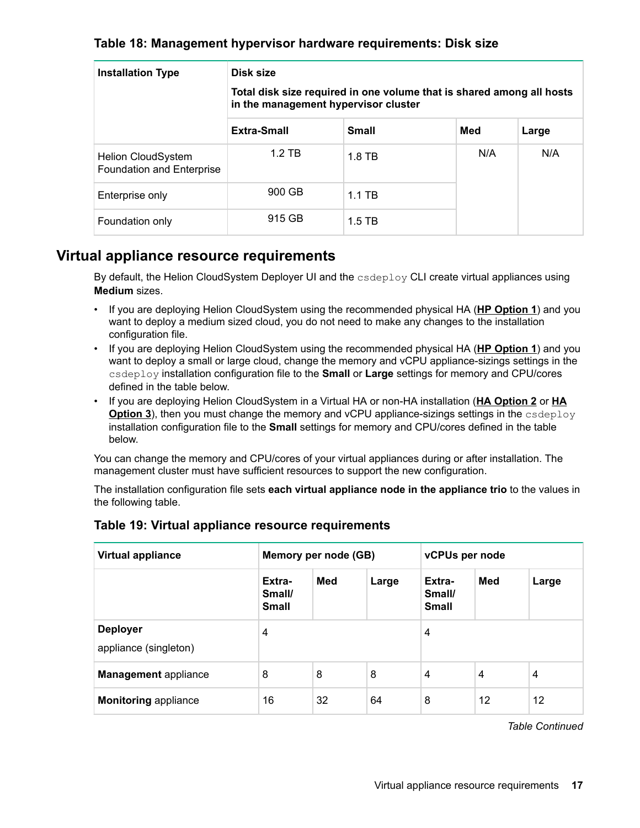# <span id="page-16-0"></span>**Table 18: Management hypervisor hardware requirements: Disk size**

| <b>Installation Type</b>                               | Disk size<br>Total disk size required in one volume that is shared among all hosts<br>in the management hypervisor cluster |              |     |       |  |
|--------------------------------------------------------|----------------------------------------------------------------------------------------------------------------------------|--------------|-----|-------|--|
|                                                        | Extra-Small                                                                                                                | <b>Small</b> | Med | Large |  |
| <b>Helion CloudSystem</b><br>Foundation and Enterprise | $1.2$ TB                                                                                                                   | $1.8$ TB     | N/A | N/A   |  |
| Enterprise only                                        | 900 GB                                                                                                                     | $1.1$ TB     |     |       |  |
| Foundation only                                        | 915 GB                                                                                                                     | $1.5$ TB     |     |       |  |

# **Virtual appliance resource requirements**

By default, the Helion CloudSystem Deployer UI and the  $\csc$  CLI create virtual appliances using **Medium** sizes.

- If you are deploying Helion CloudSystem using the recommended physical HA (**[HP Option 1](#page-13-0)**) and you want to deploy a medium sized cloud, you do not need to make any changes to the installation configuration file.
- If you are deploying Helion CloudSystem using the recommended physical HA (**[HP Option 1](#page-13-0)**) and you want to deploy a small or large cloud, change the memory and vCPU appliance-sizings settings in the csdeploy installation configuration file to the **Small** or **Large** settings for memory and CPU/cores defined in the table below.
- If you are deploying Helion CloudSystem in a Virtual HA or non-HA installation (**[HA Option 2](#page-14-0)** or **[HA](#page-15-0) [Option 3](#page-15-0)**), then you must change the memory and vCPU appliance-sizings settings in the csdeploy installation configuration file to the **Small** settings for memory and CPU/cores defined in the table below.

You can change the memory and CPU/cores of your virtual appliances during or after installation. The management cluster must have sufficient resources to support the new configuration.

The installation configuration file sets **each virtual appliance node in the appliance trio** to the values in the following table.

| <b>Virtual appliance</b>                 | Memory per node (GB)             |     | vCPUs per node |                                  |     |       |
|------------------------------------------|----------------------------------|-----|----------------|----------------------------------|-----|-------|
|                                          | Extra-<br>Small/<br><b>Small</b> | Med | Large          | Extra-<br>Small/<br><b>Small</b> | Med | Large |
| <b>Deployer</b><br>appliance (singleton) | $\overline{4}$                   |     |                | 4                                |     |       |
| <b>Management</b> appliance              | 8                                | 8   | 8              | 4                                | 4   | 4     |
| <b>Monitoring appliance</b>              | 16                               | 32  | 64             | 8                                | 12  | 12    |

# **Table 19: Virtual appliance resource requirements**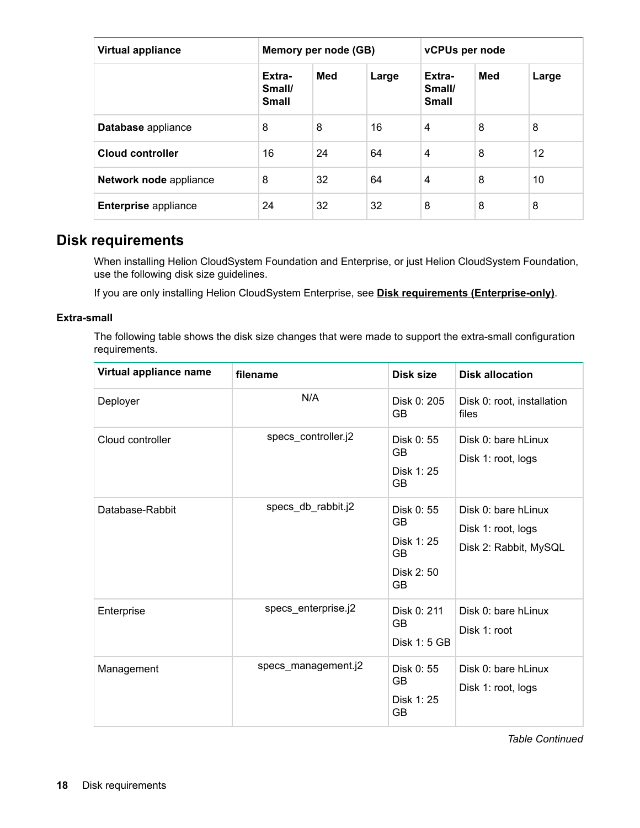<span id="page-17-0"></span>

| <b>Virtual appliance</b>    | Memory per node (GB)             |     | vCPUs per node |                                  |     |       |
|-----------------------------|----------------------------------|-----|----------------|----------------------------------|-----|-------|
|                             | Extra-<br>Small/<br><b>Small</b> | Med | Large          | Extra-<br>Small/<br><b>Small</b> | Med | Large |
| Database appliance          | 8                                | 8   | 16             | 4                                | 8   | 8     |
| Cloud controller            | 16                               | 24  | 64             | 4                                | 8   | 12    |
| Network node appliance      | 8                                | 32  | 64             | 4                                | 8   | 10    |
| <b>Enterprise appliance</b> | 24                               | 32  | 32             | 8                                | 8   | 8     |

# **Disk requirements**

When installing Helion CloudSystem Foundation and Enterprise, or just Helion CloudSystem Foundation, use the following disk size guidelines.

If you are only installing Helion CloudSystem Enterprise, see **[Disk requirements \(Enterprise-only\)](#page-21-0)**.

### **Extra-small**

The following table shows the disk size changes that were made to support the extra-small configuration requirements.

| Virtual appliance name | filename            | Disk size                                                                    | <b>Disk allocation</b>                                             |
|------------------------|---------------------|------------------------------------------------------------------------------|--------------------------------------------------------------------|
| Deployer               | N/A                 | Disk 0: 205<br><b>GB</b>                                                     | Disk 0: root, installation<br>files                                |
| Cloud controller       | specs_controller.j2 | Disk 0: 55<br><b>GB</b><br>Disk 1: 25<br><b>GB</b>                           | Disk 0: bare hLinux<br>Disk 1: root, logs                          |
| Database-Rabbit        | specs_db_rabbit.j2  | Disk 0: 55<br><b>GB</b><br>Disk 1: 25<br><b>GB</b><br>Disk 2:50<br><b>GB</b> | Disk 0: bare hLinux<br>Disk 1: root, logs<br>Disk 2: Rabbit, MySQL |
| Enterprise             | specs_enterprise.j2 | Disk 0: 211<br><b>GB</b><br>Disk 1: 5 GB                                     | Disk 0: bare hLinux<br>Disk 1: root                                |
| Management             | specs_management.j2 | Disk 0: 55<br><b>GB</b><br>Disk 1: 25<br><b>GB</b>                           | Disk 0: bare hLinux<br>Disk 1: root, logs                          |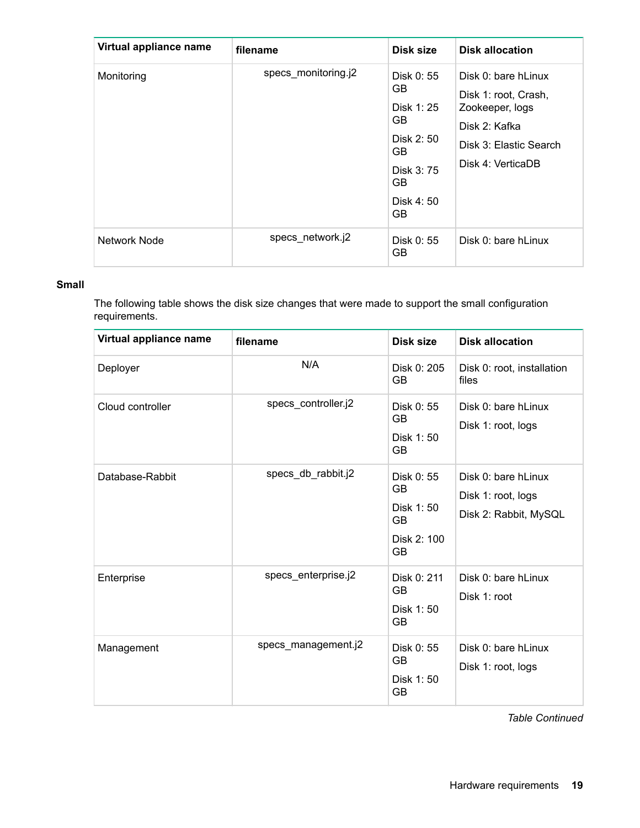| Virtual appliance name | filename            | Disk size                                                                                                      | <b>Disk allocation</b>                                                                                                         |
|------------------------|---------------------|----------------------------------------------------------------------------------------------------------------|--------------------------------------------------------------------------------------------------------------------------------|
| Monitoring             | specs_monitoring.j2 | Disk 0: 55<br><b>GB</b><br>Disk 1: 25<br>GB.<br>Disk 2: 50<br>GB.<br>Disk 3:75<br><b>GB</b><br>Disk 4:50<br>GB | Disk 0: bare hLinux<br>Disk 1: root, Crash,<br>Zookeeper, logs<br>Disk 2: Kafka<br>Disk 3: Elastic Search<br>Disk 4: VerticaDB |
| Network Node           | specs_network.j2    | Disk 0: 55<br><b>GB</b>                                                                                        | Disk 0: bare hLinux                                                                                                            |

## **Small**

The following table shows the disk size changes that were made to support the small configuration requirements.

| Virtual appliance name | filename            | Disk size                                                       | <b>Disk allocation</b>                                             |
|------------------------|---------------------|-----------------------------------------------------------------|--------------------------------------------------------------------|
| Deployer               | N/A                 | Disk 0: 205<br><b>GB</b>                                        | Disk 0: root, installation<br>files                                |
| Cloud controller       | specs_controller.j2 | Disk 0: 55<br>GB<br>Disk 1:50<br><b>GB</b>                      | Disk 0: bare hLinux<br>Disk 1: root, logs                          |
| Database-Rabbit        | specs_db_rabbit.j2  | Disk 0: 55<br>GB<br>Disk 1:50<br><b>GB</b><br>Disk 2: 100<br>GB | Disk 0: bare hLinux<br>Disk 1: root, logs<br>Disk 2: Rabbit, MySQL |
| Enterprise             | specs_enterprise.j2 | Disk 0: 211<br><b>GB</b><br>Disk 1:50<br>GB                     | Disk 0: bare hLinux<br>Disk 1: root                                |
| Management             | specs_management.j2 | Disk 0: 55<br>GB<br>Disk 1:50<br>GB                             | Disk 0: bare hLinux<br>Disk 1: root, logs                          |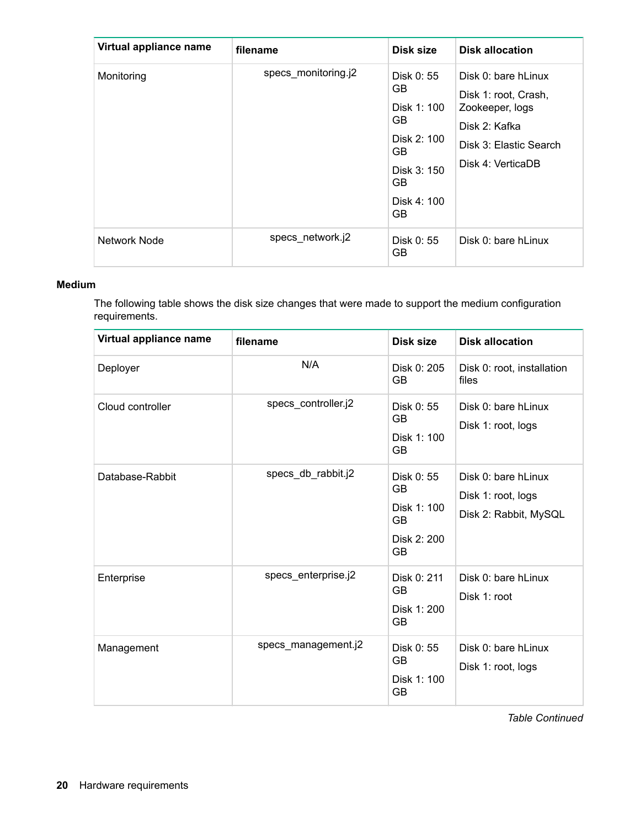| Virtual appliance name | filename            | Disk size                                                                                              | <b>Disk allocation</b>                                                                                                         |
|------------------------|---------------------|--------------------------------------------------------------------------------------------------------|--------------------------------------------------------------------------------------------------------------------------------|
| Monitoring             | specs monitoring.j2 | Disk 0: 55<br>GB<br>Disk 1: 100<br>GB<br>Disk 2: 100<br>GB.<br>Disk 3: 150<br>GB.<br>Disk 4: 100<br>GB | Disk 0: bare hLinux<br>Disk 1: root, Crash,<br>Zookeeper, logs<br>Disk 2: Kafka<br>Disk 3: Elastic Search<br>Disk 4: VerticaDB |
| Network Node           | specs_network.j2    | Disk 0: 55<br>GB                                                                                       | Disk 0: bare hLinux                                                                                                            |

## **Medium**

The following table shows the disk size changes that were made to support the medium configuration requirements.

| Virtual appliance name | filename            | Disk size                                                                       | <b>Disk allocation</b>                                             |
|------------------------|---------------------|---------------------------------------------------------------------------------|--------------------------------------------------------------------|
| Deployer               | N/A                 | Disk 0: 205<br><b>GB</b>                                                        | Disk 0: root, installation<br>files                                |
| Cloud controller       | specs_controller.j2 | Disk 0: 55<br><b>GB</b><br>Disk 1: 100<br><b>GB</b>                             | Disk 0: bare hLinux<br>Disk 1: root, logs                          |
| Database-Rabbit        | specs_db_rabbit.j2  | Disk 0: 55<br><b>GB</b><br>Disk 1: 100<br><b>GB</b><br>Disk 2: 200<br><b>GB</b> | Disk 0: bare hLinux<br>Disk 1: root, logs<br>Disk 2: Rabbit, MySQL |
| Enterprise             | specs_enterprise.j2 | Disk 0: 211<br><b>GB</b><br>Disk 1: 200<br><b>GB</b>                            | Disk 0: bare hLinux<br>Disk 1: root                                |
| Management             | specs_management.j2 | Disk 0: 55<br><b>GB</b><br>Disk 1: 100<br><b>GB</b>                             | Disk 0: bare hLinux<br>Disk 1: root, logs                          |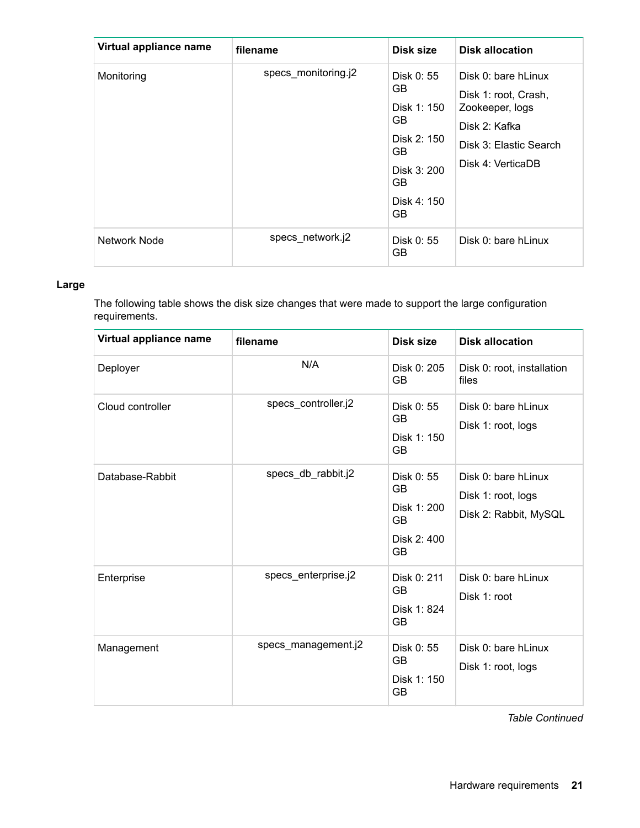| Virtual appliance name | filename            | Disk size                                                                                                            | <b>Disk allocation</b>                                                                                                         |
|------------------------|---------------------|----------------------------------------------------------------------------------------------------------------------|--------------------------------------------------------------------------------------------------------------------------------|
| Monitoring             | specs_monitoring.j2 | Disk 0: 55<br><b>GB</b><br>Disk 1: 150<br>GB.<br>Disk 2: 150<br>GB.<br>Disk 3: 200<br><b>GB</b><br>Disk 4: 150<br>GB | Disk 0: bare hLinux<br>Disk 1: root, Crash,<br>Zookeeper, logs<br>Disk 2: Kafka<br>Disk 3: Elastic Search<br>Disk 4: VerticaDB |
| Network Node           | specs_network.j2    | Disk 0: 55<br>GB.                                                                                                    | Disk 0: bare hLinux                                                                                                            |

# **Large**

The following table shows the disk size changes that were made to support the large configuration requirements.

| Virtual appliance name | filename            | Disk size                                                         | <b>Disk allocation</b>                                             |
|------------------------|---------------------|-------------------------------------------------------------------|--------------------------------------------------------------------|
| Deployer               | N/A                 | Disk 0: 205<br><b>GB</b>                                          | Disk 0: root, installation<br>files                                |
| Cloud controller       | specs_controller.j2 | Disk 0: 55<br>GB<br>Disk 1: 150<br><b>GB</b>                      | Disk 0: bare hLinux<br>Disk 1: root, logs                          |
| Database-Rabbit        | specs_db_rabbit.j2  | Disk 0: 55<br>GB<br>Disk 1: 200<br><b>GB</b><br>Disk 2: 400<br>GB | Disk 0: bare hLinux<br>Disk 1: root, logs<br>Disk 2: Rabbit, MySQL |
| Enterprise             | specs_enterprise.j2 | Disk 0: 211<br><b>GB</b><br>Disk 1: 824<br>GB                     | Disk 0: bare hLinux<br>Disk 1: root                                |
| Management             | specs_management.j2 | Disk 0: 55<br>GB<br>Disk 1: 150<br>GB                             | Disk 0: bare hLinux<br>Disk 1: root, logs                          |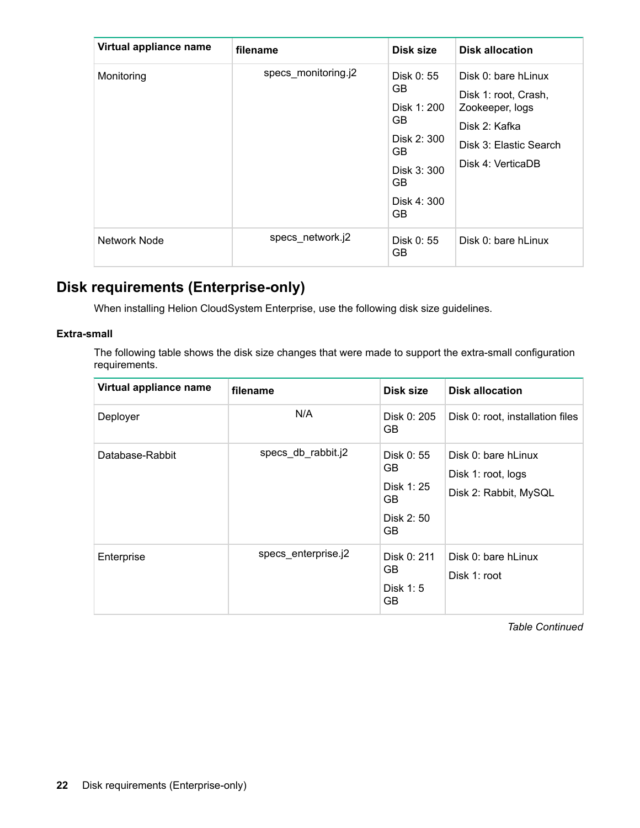<span id="page-21-0"></span>

| Virtual appliance name | filename            | Disk size                                                                                                 | <b>Disk allocation</b>                                                                                                         |
|------------------------|---------------------|-----------------------------------------------------------------------------------------------------------|--------------------------------------------------------------------------------------------------------------------------------|
| Monitoring             | specs_monitoring.j2 | Disk 0: 55<br>GB.<br>Disk 1: 200<br>GB.<br>Disk 2: 300<br>GB.<br>Disk 3: 300<br>GB.<br>Disk 4: 300<br>GB. | Disk 0: bare hLinux<br>Disk 1: root, Crash,<br>Zookeeper, logs<br>Disk 2: Kafka<br>Disk 3: Elastic Search<br>Disk 4: VerticaDB |
| Network Node           | specs network.j2    | Disk 0: 55<br>GB.                                                                                         | Disk 0: bare hLinux                                                                                                            |

# **Disk requirements (Enterprise-only)**

When installing Helion CloudSystem Enterprise, use the following disk size guidelines.

## **Extra-small**

The following table shows the disk size changes that were made to support the extra-small configuration requirements.

| Virtual appliance name | filename            | Disk size                                                   | <b>Disk allocation</b>                                             |
|------------------------|---------------------|-------------------------------------------------------------|--------------------------------------------------------------------|
| Deployer               | N/A                 | Disk 0: 205<br>GB.                                          | Disk 0: root, installation files                                   |
| Database-Rabbit        | specs_db_rabbit.j2  | Disk 0: 55<br>GB.<br>Disk 1: 25<br>GB.<br>Disk 2: 50<br>GB. | Disk 0: bare hLinux<br>Disk 1: root, logs<br>Disk 2: Rabbit, MySQL |
| Enterprise             | specs enterprise.j2 | Disk 0: 211<br>GB.<br>Disk 1:5<br>GB                        | Disk 0: bare hLinux<br>Disk 1: root                                |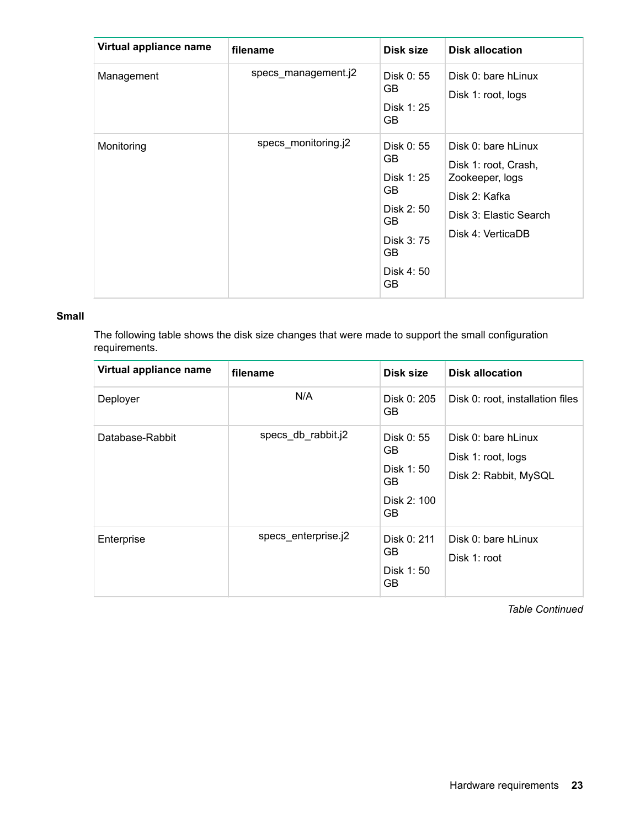| Virtual appliance name | filename            | Disk size                                                                                          | <b>Disk allocation</b>                                                                                                         |
|------------------------|---------------------|----------------------------------------------------------------------------------------------------|--------------------------------------------------------------------------------------------------------------------------------|
| Management             | specs_management.j2 | Disk 0: 55<br>GB.<br>Disk 1: 25<br>GB                                                              | Disk 0: bare hLinux<br>Disk 1: root, logs                                                                                      |
| Monitoring             | specs_monitoring.j2 | Disk 0: 55<br>GB.<br>Disk 1: 25<br>GB<br>Disk 2: 50<br>GB.<br>Disk 3: 75<br>GB.<br>Disk 4:50<br>GB | Disk 0: bare hLinux<br>Disk 1: root, Crash,<br>Zookeeper, logs<br>Disk 2: Kafka<br>Disk 3: Elastic Search<br>Disk 4: VerticaDB |

### **Small**

The following table shows the disk size changes that were made to support the small configuration requirements.

| Virtual appliance name | filename            | Disk size                                                   | <b>Disk allocation</b>                                             |
|------------------------|---------------------|-------------------------------------------------------------|--------------------------------------------------------------------|
| Deployer               | N/A                 | Disk 0: 205<br>GB                                           | Disk 0: root, installation files                                   |
| Database-Rabbit        | specs_db_rabbit.j2  | Disk 0: 55<br>GB.<br>Disk 1:50<br>GB.<br>Disk 2: 100<br>GB. | Disk 0: bare hLinux<br>Disk 1: root, logs<br>Disk 2: Rabbit, MySQL |
| Enterprise             | specs enterprise.j2 | Disk 0: 211<br>GB.<br>Disk 1:50<br>GB                       | Disk 0: bare hLinux<br>Disk 1: root                                |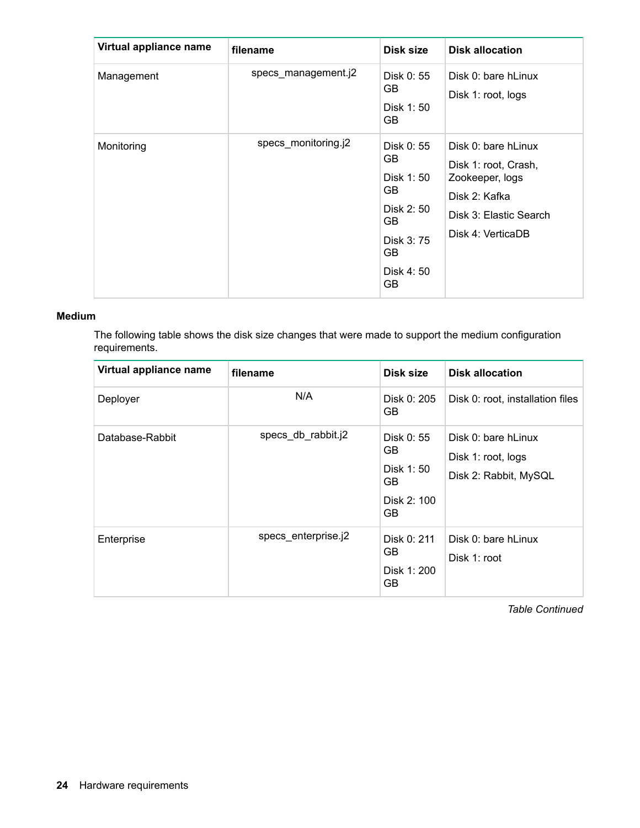| Virtual appliance name | filename            | Disk size                                                                                         | <b>Disk allocation</b>                                                                                                         |
|------------------------|---------------------|---------------------------------------------------------------------------------------------------|--------------------------------------------------------------------------------------------------------------------------------|
| Management             | specs_management.j2 | Disk 0: 55<br>GB.<br>Disk 1:50<br>GB.                                                             | Disk 0: bare hLinux<br>Disk 1: root, logs                                                                                      |
| Monitoring             | specs monitoring.j2 | Disk 0: 55<br>GB.<br>Disk 1:50<br>GB.<br>Disk 2: 50<br>GB.<br>Disk 3: 75<br>GB<br>Disk 4:50<br>GB | Disk 0: bare hLinux<br>Disk 1: root, Crash,<br>Zookeeper, logs<br>Disk 2: Kafka<br>Disk 3: Elastic Search<br>Disk 4: VerticaDB |

### **Medium**

The following table shows the disk size changes that were made to support the medium configuration requirements.

| Virtual appliance name | filename            | Disk size                                                   | <b>Disk allocation</b>                                             |
|------------------------|---------------------|-------------------------------------------------------------|--------------------------------------------------------------------|
| Deployer               | N/A                 | Disk 0: 205<br>GB.                                          | Disk 0: root, installation files                                   |
| Database-Rabbit        | specs_db_rabbit.j2  | Disk 0: 55<br>GB.<br>Disk 1:50<br>GB.<br>Disk 2: 100<br>GB. | Disk 0: bare hLinux<br>Disk 1: root, logs<br>Disk 2: Rabbit, MySQL |
| Enterprise             | specs enterprise.j2 | Disk 0: 211<br>GB.<br>Disk 1: 200<br>GB.                    | Disk 0: bare hLinux<br>Disk 1: root                                |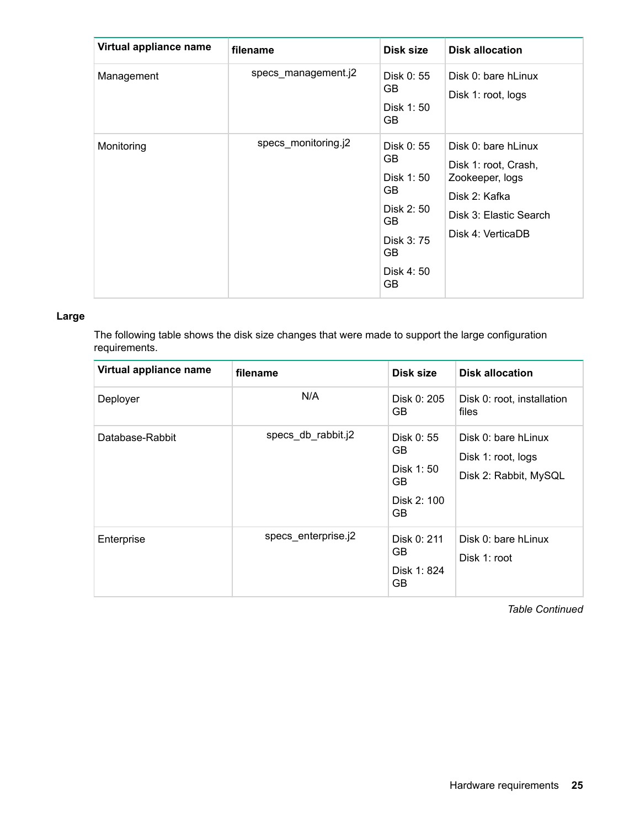| Virtual appliance name | filename            | Disk size                                                                                          | <b>Disk allocation</b>                                                                                                         |
|------------------------|---------------------|----------------------------------------------------------------------------------------------------|--------------------------------------------------------------------------------------------------------------------------------|
| Management             | specs_management.j2 | Disk 0: 55<br>GB<br>Disk 1:50<br>GB.                                                               | Disk 0: bare hLinux<br>Disk 1: root, logs                                                                                      |
| Monitoring             | specs monitoring.j2 | Disk 0: 55<br>GB.<br>Disk 1:50<br>GB.<br>Disk 2: 50<br>GB.<br>Disk 3: 75<br>GB<br>Disk 4:50<br>GB. | Disk 0: bare hLinux<br>Disk 1: root, Crash,<br>Zookeeper, logs<br>Disk 2: Kafka<br>Disk 3: Elastic Search<br>Disk 4: VerticaDB |

## **Large**

The following table shows the disk size changes that were made to support the large configuration requirements.

| Virtual appliance name | filename            | Disk size                                                               | <b>Disk allocation</b>                                             |
|------------------------|---------------------|-------------------------------------------------------------------------|--------------------------------------------------------------------|
| Deployer               | N/A                 | Disk 0: 205<br>GB.                                                      | Disk 0: root, installation<br>files                                |
| Database-Rabbit        | specs_db_rabbit.j2  | Disk 0: 55<br>GB.<br>Disk 1:50<br><b>GB</b><br>Disk 2: 100<br><b>GB</b> | Disk 0: bare hLinux<br>Disk 1: root, logs<br>Disk 2: Rabbit, MySQL |
| Enterprise             | specs enterprise.j2 | Disk 0: 211<br>GB<br>Disk 1: 824<br>GB                                  | Disk 0: bare hLinux<br>Disk 1: root                                |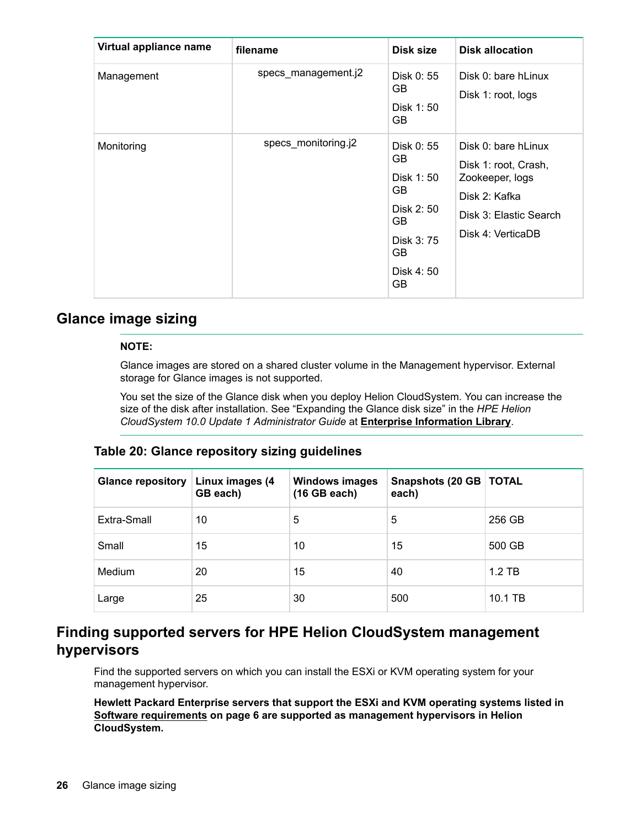<span id="page-25-0"></span>

| Virtual appliance name | filename            | Disk size                                                                                       | <b>Disk allocation</b>                                                                                                         |
|------------------------|---------------------|-------------------------------------------------------------------------------------------------|--------------------------------------------------------------------------------------------------------------------------------|
| Management             | specs_management.j2 | Disk 0: 55<br>GB.<br>Disk 1:50<br><b>GB</b>                                                     | Disk 0: bare hLinux<br>Disk 1: root, logs                                                                                      |
| Monitoring             | specs_monitoring.j2 | Disk 0: 55<br>GB.<br>Disk 1:50<br>GB<br>Disk 2: 50<br>GB<br>Disk 3: 75<br>GB<br>Disk 4:50<br>GB | Disk 0: bare hLinux<br>Disk 1: root, Crash,<br>Zookeeper, logs<br>Disk 2: Kafka<br>Disk 3: Elastic Search<br>Disk 4: VerticaDB |

# **Glance image sizing**

## **NOTE:**

Glance images are stored on a shared cluster volume in the Management hypervisor. External storage for Glance images is not supported.

You set the size of the Glance disk when you deploy Helion CloudSystem. You can increase the size of the disk after installation. See "Expanding the Glance disk size" in the *HPE Helion CloudSystem 10.0 Update 1 Administrator Guide* at **[Enterprise Information Library](http://www.hpe.com/info/CloudSystem/docs)**.

# **Table 20: Glance repository sizing guidelines**

| <b>Glance repository</b> | Linux images (4<br>GB each) | <b>Windows images</b><br>(16 GB each) | Snapshots (20 GB   TOTAL<br>each) |          |
|--------------------------|-----------------------------|---------------------------------------|-----------------------------------|----------|
| Extra-Small              | 10                          | 5                                     | 5                                 | 256 GB   |
| Small                    | 15                          | 10                                    | 15                                | 500 GB   |
| Medium                   | 20                          | 15                                    | 40                                | $1.2$ TB |
| Large                    | 25                          | 30                                    | 500                               | 10.1 TB  |

# **Finding supported servers for HPE Helion CloudSystem management hypervisors**

Find the supported servers on which you can install the ESXi or KVM operating system for your management hypervisor.

**Hewlett Packard Enterprise servers that support the ESXi and KVM operating systems listed in [Software requirements](#page-5-0) on page 6 are supported as management hypervisors in Helion CloudSystem.**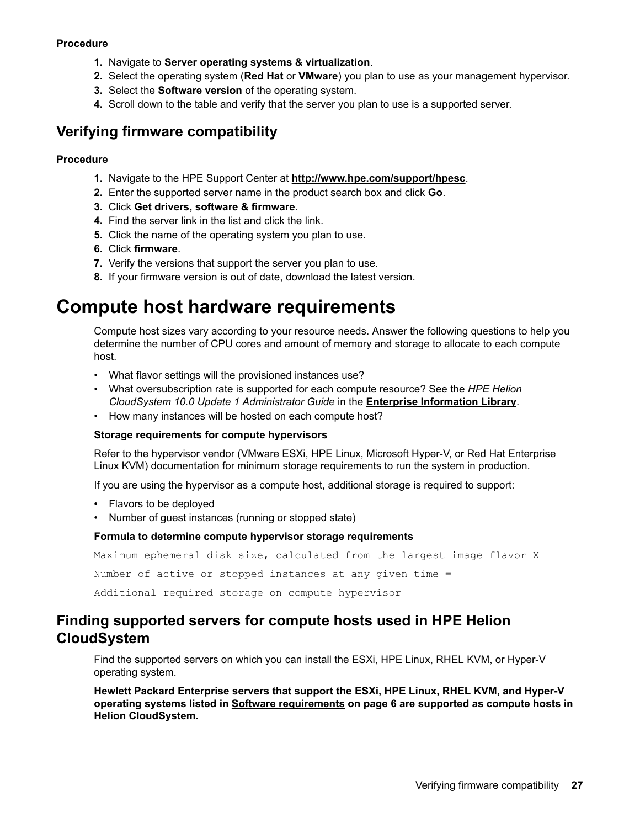### <span id="page-26-0"></span>**Procedure**

- **1.** Navigate to **[Server operating systems & virtualization](http://www.hpe.com/info/os-support-matrix)**.
- **2.** Select the operating system (**Red Hat** or **VMware**) you plan to use as your management hypervisor.
- **3.** Select the **Software version** of the operating system.
- **4.** Scroll down to the table and verify that the server you plan to use is a supported server.

# **Verifying firmware compatibility**

### **Procedure**

- **1.** Navigate to the HPE Support Center at **<http://www.hpe.com/support/hpesc>**.
- **2.** Enter the supported server name in the product search box and click **Go**.
- **3.** Click **Get drivers, software & firmware**.
- **4.** Find the server link in the list and click the link.
- **5.** Click the name of the operating system you plan to use.
- **6.** Click **firmware**.
- **7.** Verify the versions that support the server you plan to use.
- **8.** If your firmware version is out of date, download the latest version.

# **Compute host hardware requirements**

Compute host sizes vary according to your resource needs. Answer the following questions to help you determine the number of CPU cores and amount of memory and storage to allocate to each compute host.

- What flavor settings will the provisioned instances use?
- What oversubscription rate is supported for each compute resource? See the *HPE Helion CloudSystem 10.0 Update 1 Administrator Guide* in the **[Enterprise Information Library](http://www.hpe.com/info/CloudSystem/docs)**.
- How many instances will be hosted on each compute host?

#### **Storage requirements for compute hypervisors**

Refer to the hypervisor vendor (VMware ESXi, HPE Linux, Microsoft Hyper-V, or Red Hat Enterprise Linux KVM) documentation for minimum storage requirements to run the system in production.

If you are using the hypervisor as a compute host, additional storage is required to support:

- Flavors to be deployed
- Number of guest instances (running or stopped state)

#### **Formula to determine compute hypervisor storage requirements**

Maximum ephemeral disk size, calculated from the largest image flavor X Number of active or stopped instances at any given time = Additional required storage on compute hypervisor

# **Finding supported servers for compute hosts used in HPE Helion CloudSystem**

Find the supported servers on which you can install the ESXi, HPE Linux, RHEL KVM, or Hyper-V operating system.

**Hewlett Packard Enterprise servers that support the ESXi, HPE Linux, RHEL KVM, and Hyper-V operating systems listed in [Software requirements](#page-5-0) on page 6 are supported as compute hosts in Helion CloudSystem.**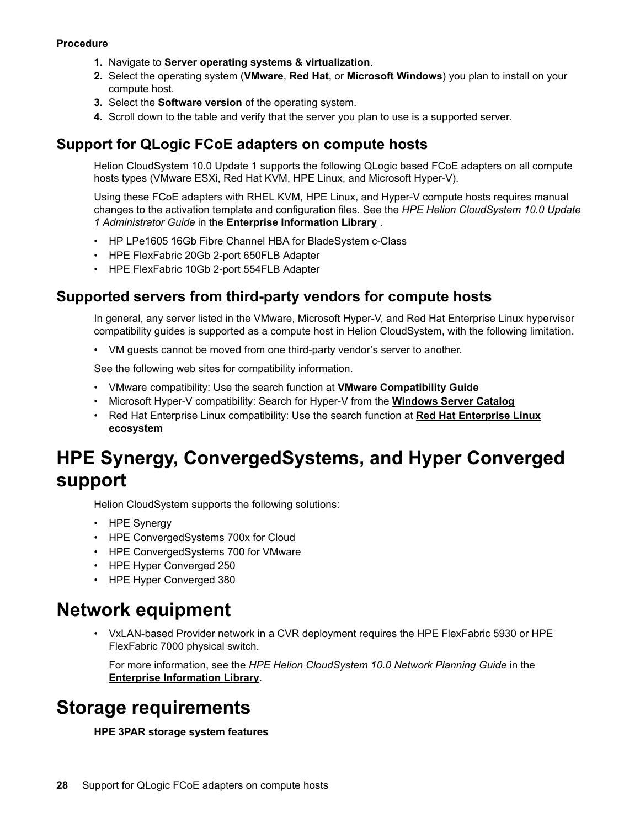### <span id="page-27-0"></span>**Procedure**

- **1.** Navigate to **[Server operating systems & virtualization](http://www.hpe.com/info/os-support-matrix)**.
- **2.** Select the operating system (**VMware**, **Red Hat**, or **Microsoft Windows**) you plan to install on your compute host.
- **3.** Select the **Software version** of the operating system.
- **4.** Scroll down to the table and verify that the server you plan to use is a supported server.

# **Support for QLogic FCoE adapters on compute hosts**

Helion CloudSystem 10.0 Update 1 supports the following QLogic based FCoE adapters on all compute hosts types (VMware ESXi, Red Hat KVM, HPE Linux, and Microsoft Hyper-V).

Using these FCoE adapters with RHEL KVM, HPE Linux, and Hyper-V compute hosts requires manual changes to the activation template and configuration files. See the *HPE Helion CloudSystem 10.0 Update 1 Administrator Guide* in the **[Enterprise Information Library](http://www.hpe.com/info/CloudSystem/docs)** .

- HP LPe1605 16Gb Fibre Channel HBA for BladeSystem c-Class
- HPE FlexFabric 20Gb 2-port 650FLB Adapter
- HPE FlexFabric 10Gb 2-port 554FLB Adapter

# **Supported servers from third-party vendors for compute hosts**

In general, any server listed in the VMware, Microsoft Hyper-V, and Red Hat Enterprise Linux hypervisor compatibility guides is supported as a compute host in Helion CloudSystem, with the following limitation.

• VM guests cannot be moved from one third-party vendor's server to another.

See the following web sites for compatibility information.

- VMware compatibility: Use the search function at **[VMware Compatibility Guide](http://www.vmware.com/resources/compatibility/search.php)**
- Microsoft Hyper-V compatibility: Search for Hyper-V from the **[Windows Server Catalog](http://www.windowsservercatalog.com)**
- Red Hat Enterprise Linux compatibility: Use the search function at **[Red Hat Enterprise Linux](https://access.redhat.com/ecosystem/search/#/ecosystem/Red%20Hat%20Enterprise%20Linux?category=Server) [ecosystem](https://access.redhat.com/ecosystem/search/#/ecosystem/Red%20Hat%20Enterprise%20Linux?category=Server)**

# **HPE Synergy, ConvergedSystems, and Hyper Converged support**

Helion CloudSystem supports the following solutions:

- HPE Synergy
- HPE ConvergedSystems 700x for Cloud
- HPE ConvergedSystems 700 for VMware
- HPE Hyper Converged 250
- HPE Hyper Converged 380

# **Network equipment**

• VxLAN-based Provider network in a CVR deployment requires the HPE FlexFabric 5930 or HPE FlexFabric 7000 physical switch.

For more information, see the *HPE Helion CloudSystem 10.0 Network Planning Guide* in the **[Enterprise Information Library](http://www.hpe.com/info/CloudSystem/docs)**.

# **Storage requirements**

#### **HPE 3PAR storage system features**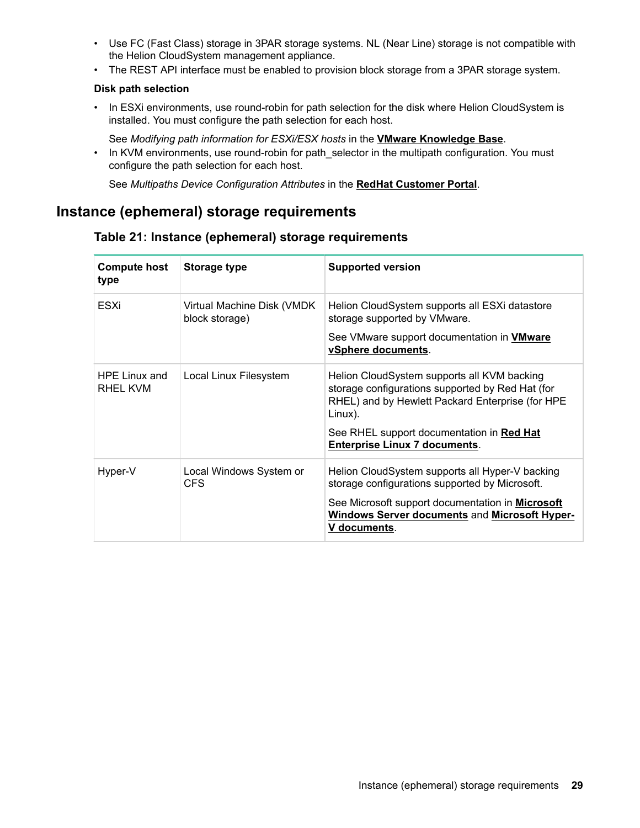- <span id="page-28-0"></span>• Use FC (Fast Class) storage in 3PAR storage systems. NL (Near Line) storage is not compatible with the Helion CloudSystem management appliance.
- The REST API interface must be enabled to provision block storage from a 3PAR storage system.

## **Disk path selection**

• In ESXi environments, use round-robin for path selection for the disk where Helion CloudSystem is installed. You must configure the path selection for each host.

See *Modifying path information for ESXi/ESX hosts* in the **[VMware Knowledge Base](https://kb.vmware.com/selfservice/microsites/search.do?language=en_US&cmd=displayKC&externalId=2000552)**.

• In KVM environments, use round-robin for path\_selector in the multipath configuration. You must configure the path selection for each host.

See *Multipaths Device Configuration Attributes* in the **[RedHat Customer Portal](https://access.redhat.com/documentation/en-US/Red_Hat_Enterprise_Linux/6/html/DM_Multipath/config_file_multipath.html)**.

# **Instance (ephemeral) storage requirements**

| <b>Compute host</b><br>type | <b>Storage type</b>                          | <b>Supported version</b>                                                                                                                                                                                                                            |
|-----------------------------|----------------------------------------------|-----------------------------------------------------------------------------------------------------------------------------------------------------------------------------------------------------------------------------------------------------|
| ESXi                        | Virtual Machine Disk (VMDK<br>block storage) | Helion CloudSystem supports all ESXi datastore<br>storage supported by VMware.<br>See VMware support documentation in <b>VMware</b><br>vSphere documents.                                                                                           |
| HPE Linux and<br>RHEL KVM   | Local Linux Filesystem                       | Helion CloudSystem supports all KVM backing<br>storage configurations supported by Red Hat (for<br>RHEL) and by Hewlett Packard Enterprise (for HPE<br>Linux).<br>See RHEL support documentation in Red Hat<br><b>Enterprise Linux 7 documents.</b> |
| Hyper-V                     | Local Windows System or<br>CFS.              | Helion CloudSystem supports all Hyper-V backing<br>storage configurations supported by Microsoft.<br>See Microsoft support documentation in <b>Microsoft</b><br><b>Windows Server documents and Microsoft Hyper-</b><br>V documents.                |

# **Table 21: Instance (ephemeral) storage requirements**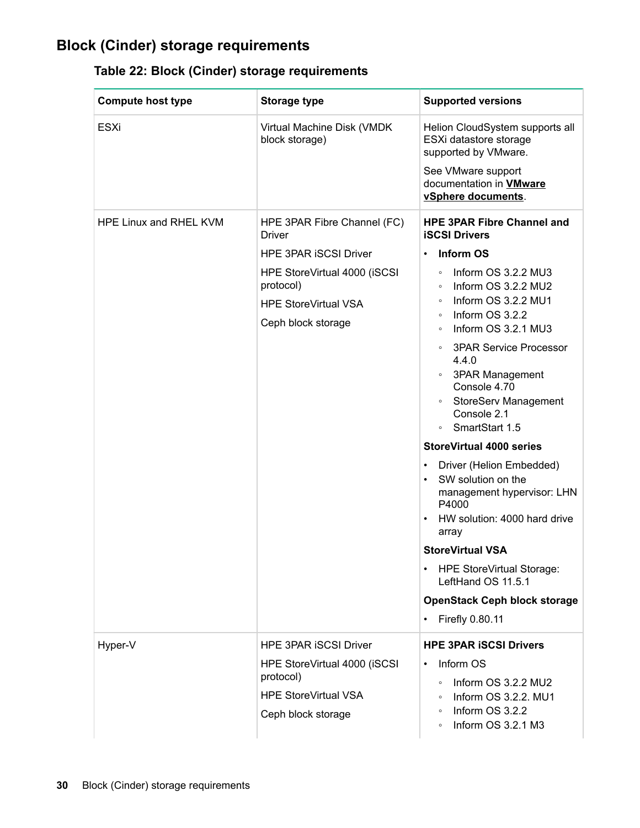# <span id="page-29-0"></span>**Block (Cinder) storage requirements**

| Table 22: Block (Cinder) storage requirements |  |  |
|-----------------------------------------------|--|--|
|                                               |  |  |

| <b>Compute host type</b> | <b>Storage type</b>                               | <b>Supported versions</b>                                                                                                                                                         |
|--------------------------|---------------------------------------------------|-----------------------------------------------------------------------------------------------------------------------------------------------------------------------------------|
| <b>ESXi</b>              | Virtual Machine Disk (VMDK<br>block storage)      | Helion CloudSystem supports all<br>ESXi datastore storage<br>supported by VMware.                                                                                                 |
|                          |                                                   | See VMware support<br>documentation in <b>VMware</b><br>vSphere documents.                                                                                                        |
| HPE Linux and RHEL KVM   | HPE 3PAR Fibre Channel (FC)<br><b>Driver</b>      | <b>HPE 3PAR Fibre Channel and</b><br><b>iSCSI Drivers</b>                                                                                                                         |
|                          | <b>HPE 3PAR ISCSI Driver</b>                      | <b>Inform OS</b><br>٠                                                                                                                                                             |
|                          | HPE StoreVirtual 4000 (iSCSI<br>protocol)         | Inform OS 3.2.2 MU3<br>$\circ$<br>Inform OS 3.2.2 MU2<br>$\circ$<br>Inform OS 3.2.2 MU1<br>$\circ$                                                                                |
|                          | <b>HPE StoreVirtual VSA</b><br>Ceph block storage | Inform OS 3.2.2<br>$\circ$<br>Inform OS 3.2.1 MU3<br>$\circ$                                                                                                                      |
|                          |                                                   | <b>3PAR Service Processor</b><br>$\circ$<br>4.4.0<br><b>3PAR Management</b><br>$\circ$<br>Console 4.70<br><b>StoreServ Management</b><br>$\circ$<br>Console 2.1<br>SmartStart 1.5 |
|                          |                                                   | <b>StoreVirtual 4000 series</b>                                                                                                                                                   |
|                          |                                                   | Driver (Helion Embedded)<br>٠<br>SW solution on the<br>$\bullet$<br>management hypervisor: LHN<br>P4000<br>HW solution: 4000 hard drive<br>٠<br>array                             |
|                          |                                                   | <b>StoreVirtual VSA</b>                                                                                                                                                           |
|                          |                                                   | <b>HPE StoreVirtual Storage:</b><br>٠<br>LeftHand OS 11.5.1                                                                                                                       |
|                          |                                                   | <b>OpenStack Ceph block storage</b>                                                                                                                                               |
|                          |                                                   | Firefly 0.80.11<br>٠                                                                                                                                                              |
| Hyper-V                  | <b>HPE 3PAR ISCSI Driver</b>                      | <b>HPE 3PAR ISCSI Drivers</b>                                                                                                                                                     |
|                          | HPE StoreVirtual 4000 (iSCSI<br>protocol)         | Inform OS<br>$\bullet$<br>Inform OS 3.2.2 MU2<br>$\circ$                                                                                                                          |
|                          | <b>HPE StoreVirtual VSA</b>                       | Inform OS 3.2.2. MU1<br>$\circ$                                                                                                                                                   |
|                          | Ceph block storage                                | Inform OS 3.2.2<br>$\circ$<br>Inform OS 3.2.1 M3<br>$\circ$                                                                                                                       |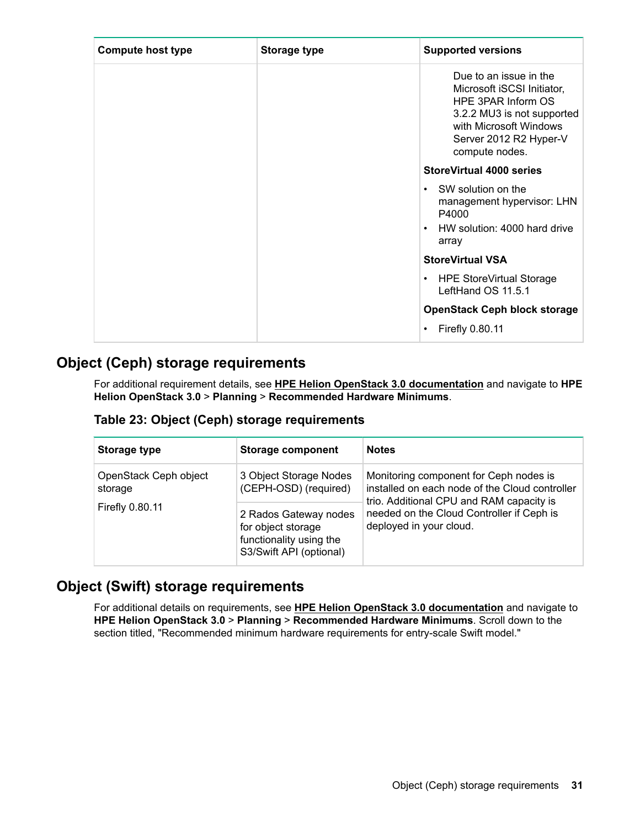<span id="page-30-0"></span>

| <b>Compute host type</b> | <b>Storage type</b> | <b>Supported versions</b>                                                                                                                                                      |
|--------------------------|---------------------|--------------------------------------------------------------------------------------------------------------------------------------------------------------------------------|
|                          |                     | Due to an issue in the<br>Microsoft iSCSI Initiator,<br>HPE 3PAR Inform OS<br>3.2.2 MU3 is not supported<br>with Microsoft Windows<br>Server 2012 R2 Hyper-V<br>compute nodes. |
|                          |                     | <b>StoreVirtual 4000 series</b>                                                                                                                                                |
|                          |                     | SW solution on the<br>$\bullet$<br>management hypervisor: LHN<br>P4000<br>HW solution: 4000 hard drive<br>$\bullet$<br>array                                                   |
|                          |                     | <b>StoreVirtual VSA</b>                                                                                                                                                        |
|                          |                     | <b>HPE StoreVirtual Storage</b><br>$\bullet$<br>LeftHand OS 11.5.1                                                                                                             |
|                          |                     | <b>OpenStack Ceph block storage</b>                                                                                                                                            |
|                          |                     | Firefly 0.80.11                                                                                                                                                                |

# **Object (Ceph) storage requirements**

For additional requirement details, see **[HPE Helion OpenStack 3.0 documentation](https://docs.hpcloud.com)** and navigate to **HPE Helion OpenStack 3.0** > **Planning** > **Recommended Hardware Minimums**.

# **Table 23: Object (Ceph) storage requirements**

| Storage type                     | <b>Storage component</b>                                                                          | <b>Notes</b>                                                                                                                         |
|----------------------------------|---------------------------------------------------------------------------------------------------|--------------------------------------------------------------------------------------------------------------------------------------|
| OpenStack Ceph object<br>storage | 3 Object Storage Nodes<br>(CEPH-OSD) (required)                                                   | Monitoring component for Ceph nodes is<br>installed on each node of the Cloud controller<br>trio. Additional CPU and RAM capacity is |
| Firefly 0.80.11                  | 2 Rados Gateway nodes<br>for object storage<br>functionality using the<br>S3/Swift API (optional) | needed on the Cloud Controller if Ceph is<br>deployed in your cloud.                                                                 |

# **Object (Swift) storage requirements**

For additional details on requirements, see **[HPE Helion OpenStack 3.0 documentation](https://docs.hpcloud.com)** and navigate to **HPE Helion OpenStack 3.0** > **Planning** > **Recommended Hardware Minimums**. Scroll down to the section titled, "Recommended minimum hardware requirements for entry-scale Swift model."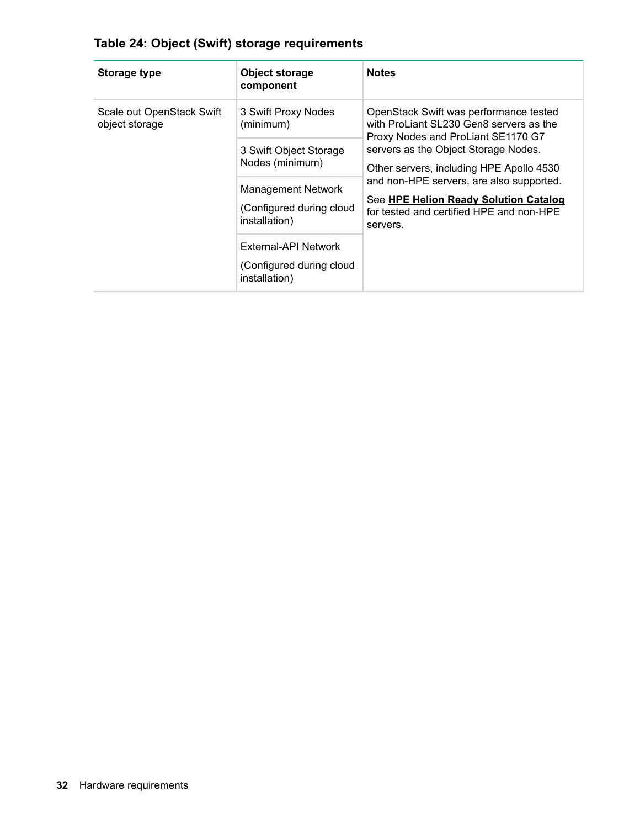| Table 24: Object (Swift) storage requirements |  |
|-----------------------------------------------|--|
|-----------------------------------------------|--|

| <b>Storage type</b>                         | <b>Object storage</b><br>component                                     | <b>Notes</b>                                                                                                                                                                                                                                                                                                                                             |
|---------------------------------------------|------------------------------------------------------------------------|----------------------------------------------------------------------------------------------------------------------------------------------------------------------------------------------------------------------------------------------------------------------------------------------------------------------------------------------------------|
| Scale out OpenStack Swift<br>object storage | 3 Swift Proxy Nodes<br>(minimum)                                       | OpenStack Swift was performance tested<br>with ProLiant SL230 Gen8 servers as the<br>Proxy Nodes and ProLiant SE1170 G7<br>servers as the Object Storage Nodes.<br>Other servers, including HPE Apollo 4530<br>and non-HPE servers, are also supported.<br>See HPE Helion Ready Solution Catalog<br>for tested and certified HPE and non-HPE<br>servers. |
|                                             | 3 Swift Object Storage<br>Nodes (minimum)<br><b>Management Network</b> |                                                                                                                                                                                                                                                                                                                                                          |
|                                             | (Configured during cloud<br>installation)                              |                                                                                                                                                                                                                                                                                                                                                          |
|                                             | External-API Network<br>(Configured during cloud<br>installation)      |                                                                                                                                                                                                                                                                                                                                                          |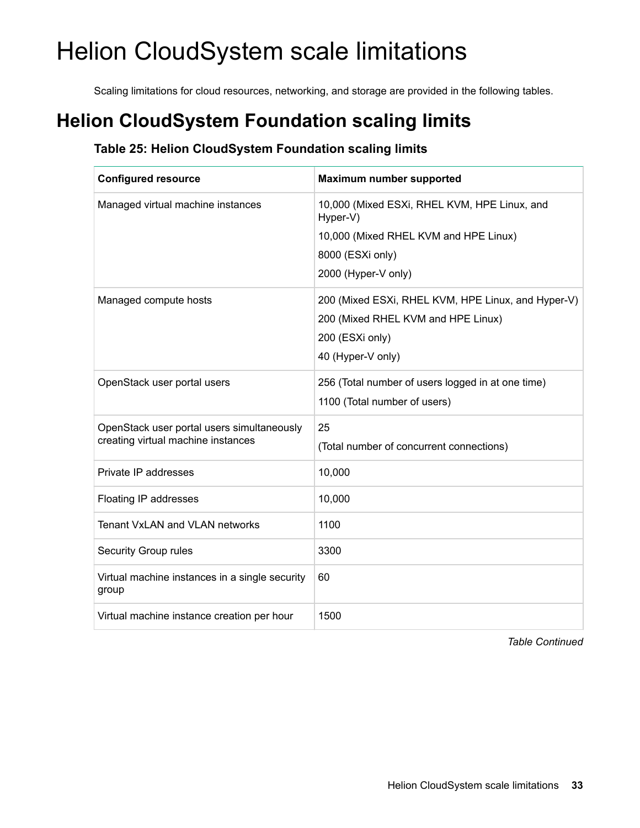# <span id="page-32-0"></span>Helion CloudSystem scale limitations

Scaling limitations for cloud resources, networking, and storage are provided in the following tables.

# **Helion CloudSystem Foundation scaling limits**

# **Table 25: Helion CloudSystem Foundation scaling limits**

| <b>Configured resource</b>                                                       | <b>Maximum number supported</b>                                                                                                  |
|----------------------------------------------------------------------------------|----------------------------------------------------------------------------------------------------------------------------------|
| Managed virtual machine instances                                                | 10,000 (Mixed ESXi, RHEL KVM, HPE Linux, and<br>Hyper-V)<br>10,000 (Mixed RHEL KVM and HPE Linux)<br>8000 (ESXi only)            |
|                                                                                  | 2000 (Hyper-V only)                                                                                                              |
| Managed compute hosts                                                            | 200 (Mixed ESXi, RHEL KVM, HPE Linux, and Hyper-V)<br>200 (Mixed RHEL KVM and HPE Linux)<br>200 (ESXi only)<br>40 (Hyper-V only) |
| OpenStack user portal users                                                      | 256 (Total number of users logged in at one time)<br>1100 (Total number of users)                                                |
| OpenStack user portal users simultaneously<br>creating virtual machine instances | 25<br>(Total number of concurrent connections)                                                                                   |
| Private IP addresses                                                             | 10,000                                                                                                                           |
| Floating IP addresses                                                            | 10,000                                                                                                                           |
| <b>Tenant VxLAN and VLAN networks</b>                                            | 1100                                                                                                                             |
| Security Group rules                                                             | 3300                                                                                                                             |
| Virtual machine instances in a single security<br>group                          | 60                                                                                                                               |
| Virtual machine instance creation per hour                                       | 1500                                                                                                                             |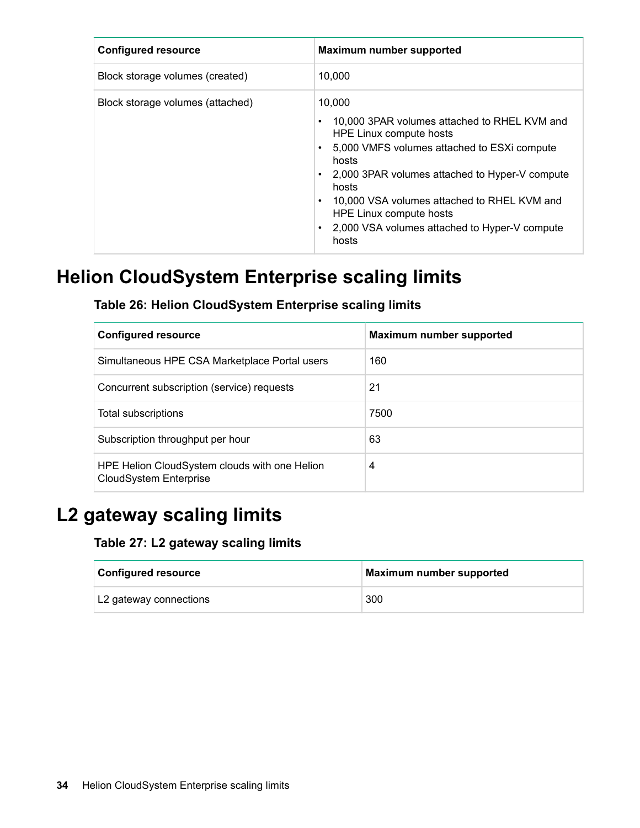<span id="page-33-0"></span>

| <b>Configured resource</b>       | <b>Maximum number supported</b>                                                                                                                                                                                                                                                                                                                                                 |
|----------------------------------|---------------------------------------------------------------------------------------------------------------------------------------------------------------------------------------------------------------------------------------------------------------------------------------------------------------------------------------------------------------------------------|
| Block storage volumes (created)  | 10,000                                                                                                                                                                                                                                                                                                                                                                          |
| Block storage volumes (attached) | 10,000<br>10,000 3PAR volumes attached to RHEL KVM and<br>HPE Linux compute hosts<br>5,000 VMFS volumes attached to ESXi compute<br>hosts<br>2,000 3PAR volumes attached to Hyper-V compute<br>$\bullet$<br>hosts<br>10,000 VSA volumes attached to RHEL KVM and<br>$\bullet$<br>HPE Linux compute hosts<br>2,000 VSA volumes attached to Hyper-V compute<br>$\bullet$<br>hosts |

# **Helion CloudSystem Enterprise scaling limits**

# **Table 26: Helion CloudSystem Enterprise scaling limits**

| <b>Configured resource</b>                                                     | <b>Maximum number supported</b> |
|--------------------------------------------------------------------------------|---------------------------------|
| Simultaneous HPE CSA Marketplace Portal users                                  | 160                             |
| Concurrent subscription (service) requests                                     | 21                              |
| Total subscriptions                                                            | 7500                            |
| Subscription throughput per hour                                               | 63                              |
| HPE Helion CloudSystem clouds with one Helion<br><b>CloudSystem Enterprise</b> | 4                               |

# **L2 gateway scaling limits**

# **Table 27: L2 gateway scaling limits**

| Configured resource    | Maximum number supported |
|------------------------|--------------------------|
| L2 gateway connections | 300                      |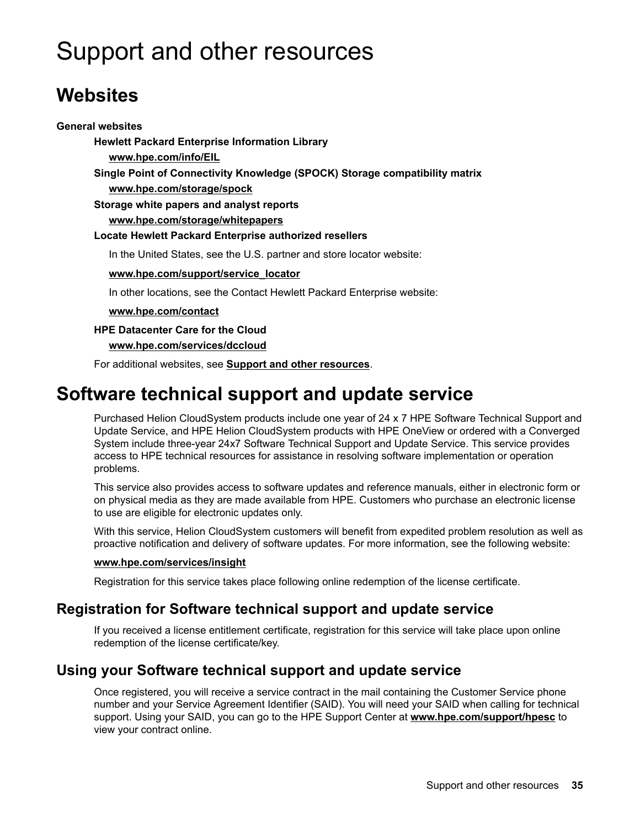# <span id="page-34-0"></span>Support and other resources

# **Websites**

## **General websites**

**Hewlett Packard Enterprise Information Library [www.hpe.com/info/EIL](http://www.hpe.com/info/EIL) Single Point of Connectivity Knowledge (SPOCK) Storage compatibility matrix [www.hpe.com/storage/spock](http://www.hpe.com/storage/spock) Storage white papers and analyst reports [www.hpe.com/storage/whitepapers](http://www.hpe.com/storage/whitepapers) Locate Hewlett Packard Enterprise authorized resellers** In the United States, see the U.S. partner and store locator website: **[www.hpe.com/support/service\\_locator](http://www.hpe.com/support/service_locator)** In other locations, see the Contact Hewlett Packard Enterprise website: **[www.hpe.com/contact](http://www.hpe.com/contact) HPE Datacenter Care for the Cloud [www.hpe.com/services/dccloud](http://www.hpe.com/services/dccloud%22)**

For additional websites, see **[Support and other resources](#page-37-0)**.

# **Software technical support and update service**

Purchased Helion CloudSystem products include one year of 24 x 7 HPE Software Technical Support and Update Service, and HPE Helion CloudSystem products with HPE OneView or ordered with a Converged System include three-year 24x7 Software Technical Support and Update Service. This service provides access to HPE technical resources for assistance in resolving software implementation or operation problems.

This service also provides access to software updates and reference manuals, either in electronic form or on physical media as they are made available from HPE. Customers who purchase an electronic license to use are eligible for electronic updates only.

With this service, Helion CloudSystem customers will benefit from expedited problem resolution as well as proactive notification and delivery of software updates. For more information, see the following website:

## **[www.hpe.com/services/insight](http://www.hpe.com/services/insight)**

Registration for this service takes place following online redemption of the license certificate.

# **Registration for Software technical support and update service**

If you received a license entitlement certificate, registration for this service will take place upon online redemption of the license certificate/key.

# **Using your Software technical support and update service**

Once registered, you will receive a service contract in the mail containing the Customer Service phone number and your Service Agreement Identifier (SAID). You will need your SAID when calling for technical support. Using your SAID, you can go to the HPE Support Center at **[www.hpe.com/support/hpesc](http://www.hpe.com/support/hpesc)** to view your contract online.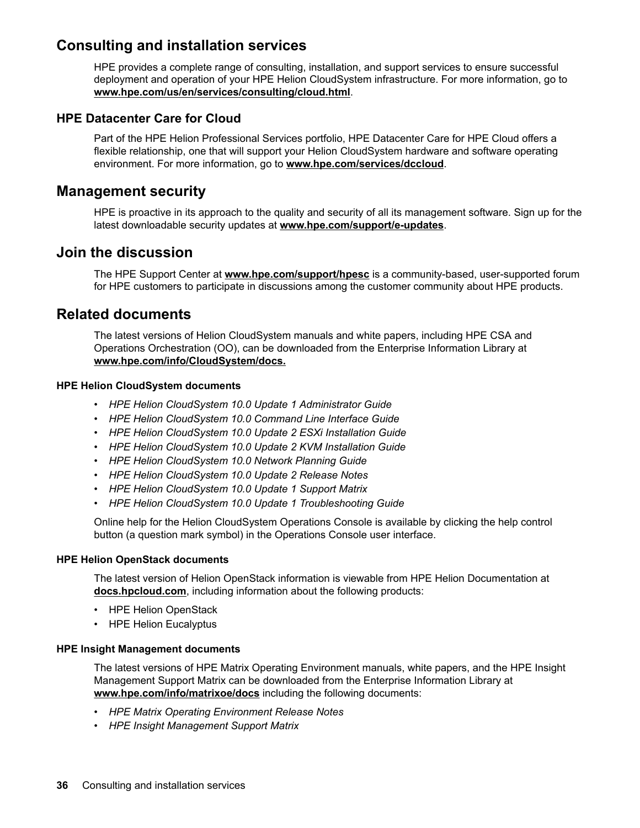# <span id="page-35-0"></span>**Consulting and installation services**

HPE provides a complete range of consulting, installation, and support services to ensure successful deployment and operation of your HPE Helion CloudSystem infrastructure. For more information, go to **[www.hpe.com/us/en/services/consulting/cloud.html](https://www.hpe.com/us/en/services/consulting/cloud.html)**.

# **HPE Datacenter Care for Cloud**

Part of the HPE Helion Professional Services portfolio, HPE Datacenter Care for HPE Cloud offers a flexible relationship, one that will support your Helion CloudSystem hardware and software operating environment. For more information, go to **[www.hpe.com/services/dccloud](http://www.hpe.com/services/dccloud)**.

# **Management security**

HPE is proactive in its approach to the quality and security of all its management software. Sign up for the latest downloadable security updates at **[www.hpe.com/support/e-updates](http://www.hpe.com/support/e-updates.)**.

# **Join the discussion**

The HPE Support Center at **[www.hpe.com/support/hpesc](http://www.hpe.com/support/hpesc)** is a community-based, user-supported forum for HPE customers to participate in discussions among the customer community about HPE products.

# **Related documents**

The latest versions of Helion CloudSystem manuals and white papers, including HPE CSA and Operations Orchestration (OO), can be downloaded from the Enterprise Information Library at **[www.hpe.com/info/CloudSystem/docs.](http://www.hpe.com/info/CloudSystem/docs.)**

## **HPE Helion CloudSystem documents**

- *HPE Helion CloudSystem 10.0 Update 1 Administrator Guide*
- *HPE Helion CloudSystem 10.0 Command Line Interface Guide*
- *HPE Helion CloudSystem 10.0 Update 2 ESXi Installation Guide*
- *HPE Helion CloudSystem 10.0 Update 2 KVM Installation Guide*
- *HPE Helion CloudSystem 10.0 Network Planning Guide*
- *HPE Helion CloudSystem 10.0 Update 2 Release Notes*
- *HPE Helion CloudSystem 10.0 Update 1 Support Matrix*
- *HPE Helion CloudSystem 10.0 Update 1 Troubleshooting Guide*

Online help for the Helion CloudSystem Operations Console is available by clicking the help control button (a question mark symbol) in the Operations Console user interface.

## **HPE Helion OpenStack documents**

The latest version of Helion OpenStack information is viewable from HPE Helion Documentation at **[docs.hpcloud.com](http://docs.hpcloud.com)**, including information about the following products:

- HPE Helion OpenStack
- HPE Helion Eucalyptus

## **HPE Insight Management documents**

The latest versions of HPE Matrix Operating Environment manuals, white papers, and the HPE Insight Management Support Matrix can be downloaded from the Enterprise Information Library at **[www.hpe.com/info/matrixoe/docs](http://www.hpe.com/info/matrixoe/docs)** including the following documents:

- *HPE Matrix Operating Environment Release Notes*
- *HPE Insight Management Support Matrix*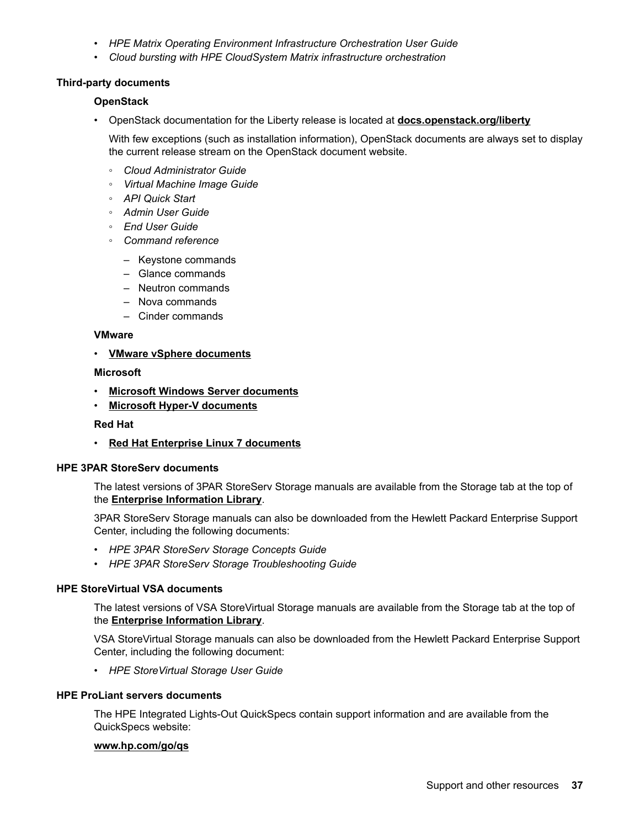- *HPE Matrix Operating Environment Infrastructure Orchestration User Guide*
- *Cloud bursting with HPE CloudSystem Matrix infrastructure orchestration*

### **Third-party documents**

#### **OpenStack**

• OpenStack documentation for the Liberty release is located at **[docs.openstack.org/liberty](http://docs.openstack.org/liberty/)**

With few exceptions (such as installation information), OpenStack documents are always set to display the current release stream on the OpenStack document website.

- *Cloud Administrator Guide*
- *Virtual Machine Image Guide*
- *API Quick Start*
- *Admin User Guide*
- *End User Guide*
- *Command reference*
	- Keystone commands
	- Glance commands
	- Neutron commands
	- Nova commands
	- Cinder commands

#### **VMware**

• **[VMware vSphere documents](https://www.vmware.com/support/pubs/vsphere-esxi-vcenter-server-pubs.html)**

#### **Microsoft**

- **[Microsoft Windows Server documents](https://technet.microsoft.com/en-us/library/bb625087.aspx)**
- **[Microsoft Hyper-V documents](https://technet.microsoft.com/en-us/library/cc753637.aspx)**

#### **Red Hat**

• **[Red Hat Enterprise Linux 7 documents](https://access.redhat.com/site/documentation/en-US/Red_Hat_Enterprise_Linux/7/index.html)**

## **HPE 3PAR StoreServ documents**

The latest versions of 3PAR StoreServ Storage manuals are available from the Storage tab at the top of the **[Enterprise Information Library](http://h17007.www1.hpe.com/us/en/enterprise/converged-infrastructure/info-library/index.aspx?platform=cs&app=helion_cloud)**.

3PAR StoreServ Storage manuals can also be downloaded from the Hewlett Packard Enterprise Support Center, including the following documents:

- *HPE 3PAR StoreServ Storage Concepts Guide*
- *HPE 3PAR StoreServ Storage Troubleshooting Guide*

## **HPE StoreVirtual VSA documents**

The latest versions of VSA StoreVirtual Storage manuals are available from the Storage tab at the top of the **[Enterprise Information Library](http://h17007.www1.hpe.com/us/en/enterprise/converged-infrastructure/info-library/index.aspx?platform=cs&app=helion_cloud)**.

VSA StoreVirtual Storage manuals can also be downloaded from the Hewlett Packard Enterprise Support Center, including the following document:

• *HPE StoreVirtual Storage User Guide*

#### **HPE ProLiant servers documents**

The HPE Integrated Lights-Out QuickSpecs contain support information and are available from the QuickSpecs website:

#### **[www.hp.com/go/qs](http://www.hp.com/go/qs)**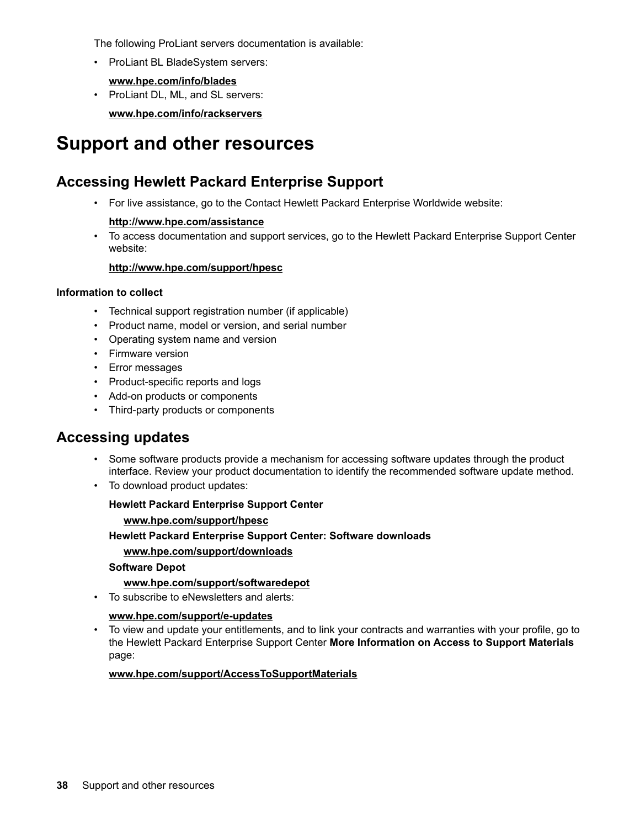<span id="page-37-0"></span>The following ProLiant servers documentation is available:

• ProLiant BL BladeSystem servers:

**[www.hpe.com/info/blades](http://www.hpe.com/info/blades)**

• ProLiant DL, ML, and SL servers:

**[www.hpe.com/info/rackservers](http://www.hpe.com/info/rackservers)**

# **Support and other resources**

# **Accessing Hewlett Packard Enterprise Support**

• For live assistance, go to the Contact Hewlett Packard Enterprise Worldwide website:

## **<http://www.hpe.com/assistance>**

• To access documentation and support services, go to the Hewlett Packard Enterprise Support Center website:

## **<http://www.hpe.com/support/hpesc>**

### **Information to collect**

- Technical support registration number (if applicable)
- Product name, model or version, and serial number
- Operating system name and version
- Firmware version
- Error messages
- Product-specific reports and logs
- Add-on products or components
- Third-party products or components

# **Accessing updates**

- Some software products provide a mechanism for accessing software updates through the product interface. Review your product documentation to identify the recommended software update method.
- To download product updates:

## **Hewlett Packard Enterprise Support Center**

## **[www.hpe.com/support/hpesc](http://www.hpe.com/support/hpesc)**

**Hewlett Packard Enterprise Support Center: Software downloads**

## **[www.hpe.com/support/downloads](http://www.hpe.com/support/downloads)**

## **Software Depot**

## **[www.hpe.com/support/softwaredepot](http://www.hpe.com/support/softwaredepot)**

• To subscribe to eNewsletters and alerts:

## **[www.hpe.com/support/e-updates](http://www.hpe.com/support/e-updates)**

• To view and update your entitlements, and to link your contracts and warranties with your profile, go to the Hewlett Packard Enterprise Support Center **More Information on Access to Support Materials** page:

## **[www.hpe.com/support/AccessToSupportMaterials](http://www.hpe.com/support/AccessToSupportMaterials)**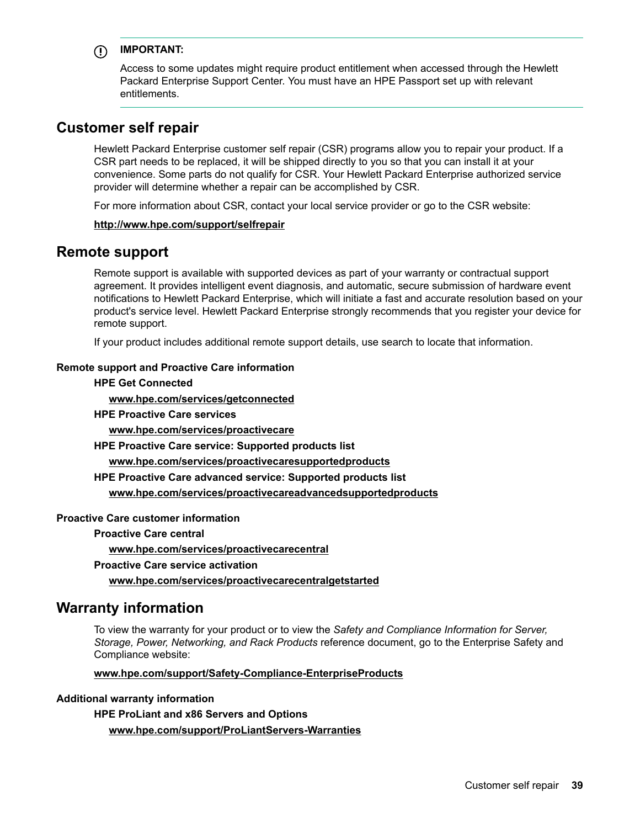# <span id="page-38-0"></span>**IMPORTANT:**

Access to some updates might require product entitlement when accessed through the Hewlett Packard Enterprise Support Center. You must have an HPE Passport set up with relevant entitlements.

# **Customer self repair**

Hewlett Packard Enterprise customer self repair (CSR) programs allow you to repair your product. If a CSR part needs to be replaced, it will be shipped directly to you so that you can install it at your convenience. Some parts do not qualify for CSR. Your Hewlett Packard Enterprise authorized service provider will determine whether a repair can be accomplished by CSR.

For more information about CSR, contact your local service provider or go to the CSR website:

#### **<http://www.hpe.com/support/selfrepair>**

# **Remote support**

Remote support is available with supported devices as part of your warranty or contractual support agreement. It provides intelligent event diagnosis, and automatic, secure submission of hardware event notifications to Hewlett Packard Enterprise, which will initiate a fast and accurate resolution based on your product's service level. Hewlett Packard Enterprise strongly recommends that you register your device for remote support.

If your product includes additional remote support details, use search to locate that information.

### **Remote support and Proactive Care information**

## **HPE Get Connected**

**[www.hpe.com/services/getconnected](http://www.hpe.com/services/getconnected)**

**HPE Proactive Care services**

**[www.hpe.com/services/proactivecare](http://www.hpe.com/services/proactivecare)**

**HPE Proactive Care service: Supported products list**

**[www.hpe.com/services/proactivecaresupportedproducts](http://www.hpe.com/services/proactivecaresupportedproducts)**

**HPE Proactive Care advanced service: Supported products list**

**[www.hpe.com/services/proactivecareadvancedsupportedproducts](http://www.hpe.com/services/proactivecareadvancedsupportedproducts)**

## **Proactive Care customer information**

**Proactive Care central**

**[www.hpe.com/services/proactivecarecentral](http://www.hpe.com/services/proactivecarecentral)**

**Proactive Care service activation**

**[www.hpe.com/services/proactivecarecentralgetstarted](http://www.hpe.com/services/proactivecarecentralgetstarted)**

# **Warranty information**

To view the warranty for your product or to view the *Safety and Compliance Information for Server, Storage, Power, Networking, and Rack Products* reference document, go to the Enterprise Safety and Compliance website:

#### **[www.hpe.com/support/Safety-Compliance-EnterpriseProducts](http://www.hpe.com/support/Safety-Compliance-EnterpriseProducts)**

#### **Additional warranty information**

**HPE ProLiant and x86 Servers and Options [www.hpe.com/support/ProLiantServers-Warranties](http://www.hpe.com/support/ProLiantServers-Warranties)**